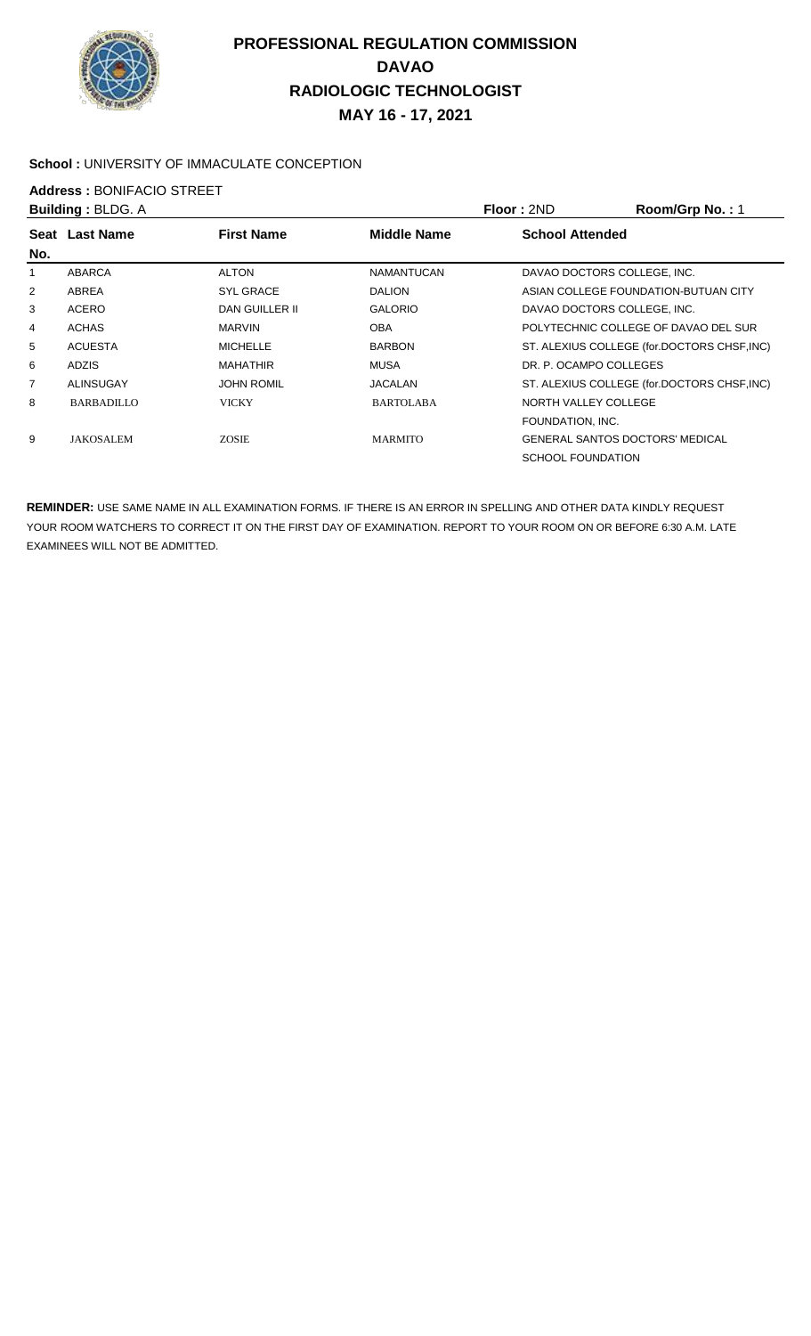

#### School : UNIVERSITY OF IMMACULATE CONCEPTION

# **Address : BONIFACIO STREET**<br>**Building : BLDG A**

|                | <b>Building: BLDG. A</b> |                   |                    | <b>Floor: 2ND</b>        | Room/Grp No.: 1                             |
|----------------|--------------------------|-------------------|--------------------|--------------------------|---------------------------------------------|
|                | Seat Last Name           | <b>First Name</b> | <b>Middle Name</b> | <b>School Attended</b>   |                                             |
| No.            |                          |                   |                    |                          |                                             |
|                | ABARCA                   | <b>ALTON</b>      | <b>NAMANTUCAN</b>  |                          | DAVAO DOCTORS COLLEGE, INC.                 |
| $\overline{2}$ | ABREA                    | <b>SYL GRACE</b>  | <b>DALION</b>      |                          | ASIAN COLLEGE FOUNDATION-BUTUAN CITY        |
| 3              | ACERO                    | DAN GUILLER II    | <b>GALORIO</b>     |                          | DAVAO DOCTORS COLLEGE, INC.                 |
| 4              | <b>ACHAS</b>             | <b>MARVIN</b>     | <b>OBA</b>         |                          | POLYTECHNIC COLLEGE OF DAVAO DEL SUR        |
| 5              | <b>ACUESTA</b>           | <b>MICHELLE</b>   | <b>BARBON</b>      |                          | ST. ALEXIUS COLLEGE (for.DOCTORS CHSF, INC) |
| 6              | <b>ADZIS</b>             | <b>MAHATHIR</b>   | <b>MUSA</b>        | DR. P. OCAMPO COLLEGES   |                                             |
| 7              | ALINSUGAY                | <b>JOHN ROMIL</b> | <b>JACALAN</b>     |                          | ST. ALEXIUS COLLEGE (for.DOCTORS CHSF, INC) |
| 8              | <b>BARBADILLO</b>        | VICKY             | <b>BARTOLABA</b>   | NORTH VALLEY COLLEGE     |                                             |
|                |                          |                   |                    | FOUNDATION, INC.         |                                             |
| 9              | <b>JAKOSALEM</b>         | <b>ZOSIE</b>      | <b>MARMITO</b>     |                          | <b>GENERAL SANTOS DOCTORS' MEDICAL</b>      |
|                |                          |                   |                    | <b>SCHOOL FOUNDATION</b> |                                             |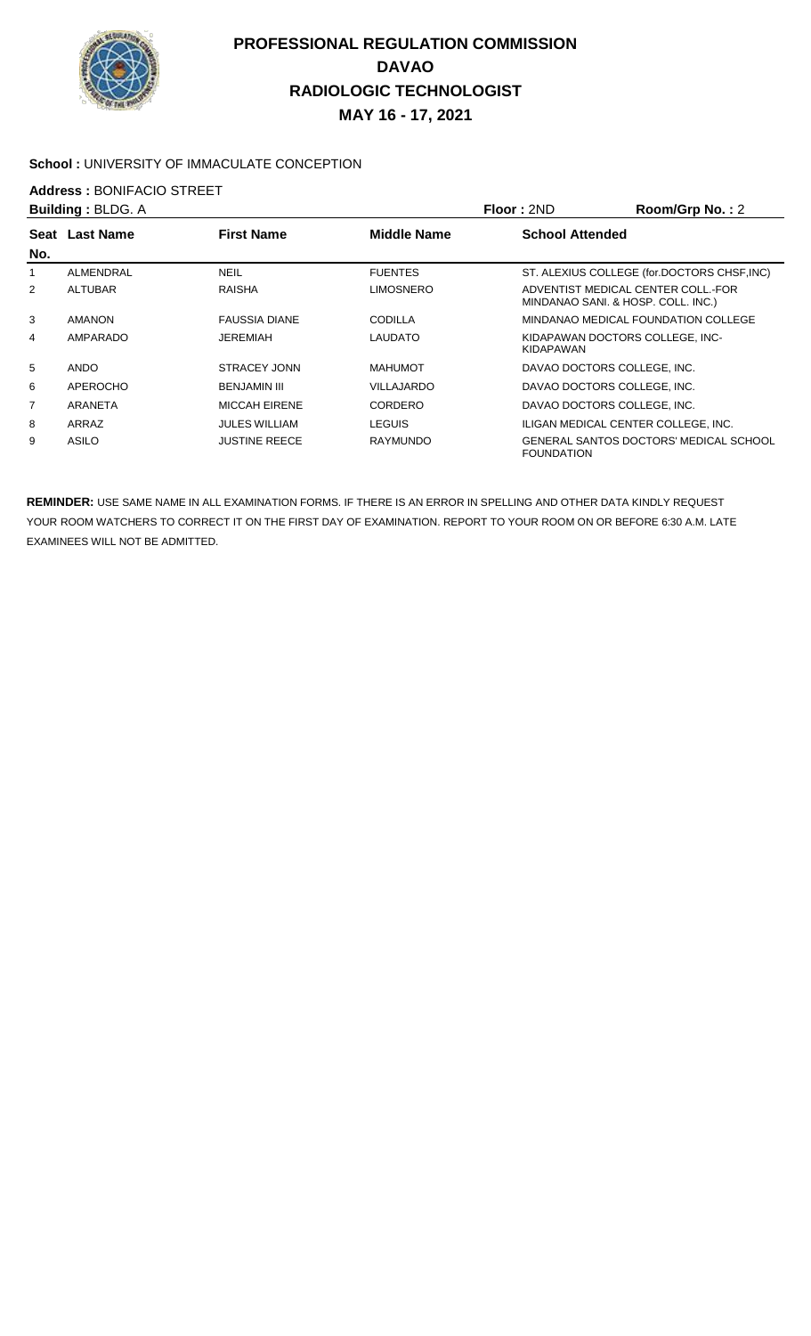

#### School : UNIVERSITY OF IMMACULATE CONCEPTION

## **Address : BONIFACIO STREET**<br>**Building : BLDG A**

|      | <b>Building: BLDG. A</b> |                      |                    | Floor: 2ND             | Room/Grp No.: 2                                                          |
|------|--------------------------|----------------------|--------------------|------------------------|--------------------------------------------------------------------------|
| Seat | <b>Last Name</b>         | <b>First Name</b>    | <b>Middle Name</b> | <b>School Attended</b> |                                                                          |
| No.  |                          |                      |                    |                        |                                                                          |
|      | ALMENDRAL                | <b>NEIL</b>          | <b>FUENTES</b>     |                        | ST. ALEXIUS COLLEGE (for.DOCTORS CHSF, INC)                              |
| 2    | <b>ALTUBAR</b>           | RAISHA               | <b>LIMOSNERO</b>   |                        | ADVENTIST MEDICAL CENTER COLL. FOR<br>MINDANAO SANI. & HOSP. COLL. INC.) |
| 3    | <b>AMANON</b>            | <b>FAUSSIA DIANE</b> | CODILLA            |                        | MINDANAO MEDICAL FOUNDATION COLLEGE                                      |
| 4    | AMPARADO                 | JEREMIAH             | LAUDATO            | KIDAPAWAN              | KIDAPAWAN DOCTORS COLLEGE. INC-                                          |
| 5    | <b>ANDO</b>              | STRACEY JONN         | <b>MAHUMOT</b>     |                        | DAVAO DOCTORS COLLEGE. INC.                                              |
| 6    | APEROCHO                 | <b>BENJAMIN III</b>  | VILLAJARDO         |                        | DAVAO DOCTORS COLLEGE. INC.                                              |
| 7    | <b>ARANETA</b>           | <b>MICCAH EIRENE</b> | CORDERO            |                        | DAVAO DOCTORS COLLEGE, INC.                                              |
| 8    | ARRAZ                    | <b>JULES WILLIAM</b> | LEGUIS             |                        | ILIGAN MEDICAL CENTER COLLEGE. INC.                                      |
| 9    | <b>ASILO</b>             | <b>JUSTINE REECE</b> | <b>RAYMUNDO</b>    | <b>FOUNDATION</b>      | <b>GENERAL SANTOS DOCTORS' MEDICAL SCHOOL</b>                            |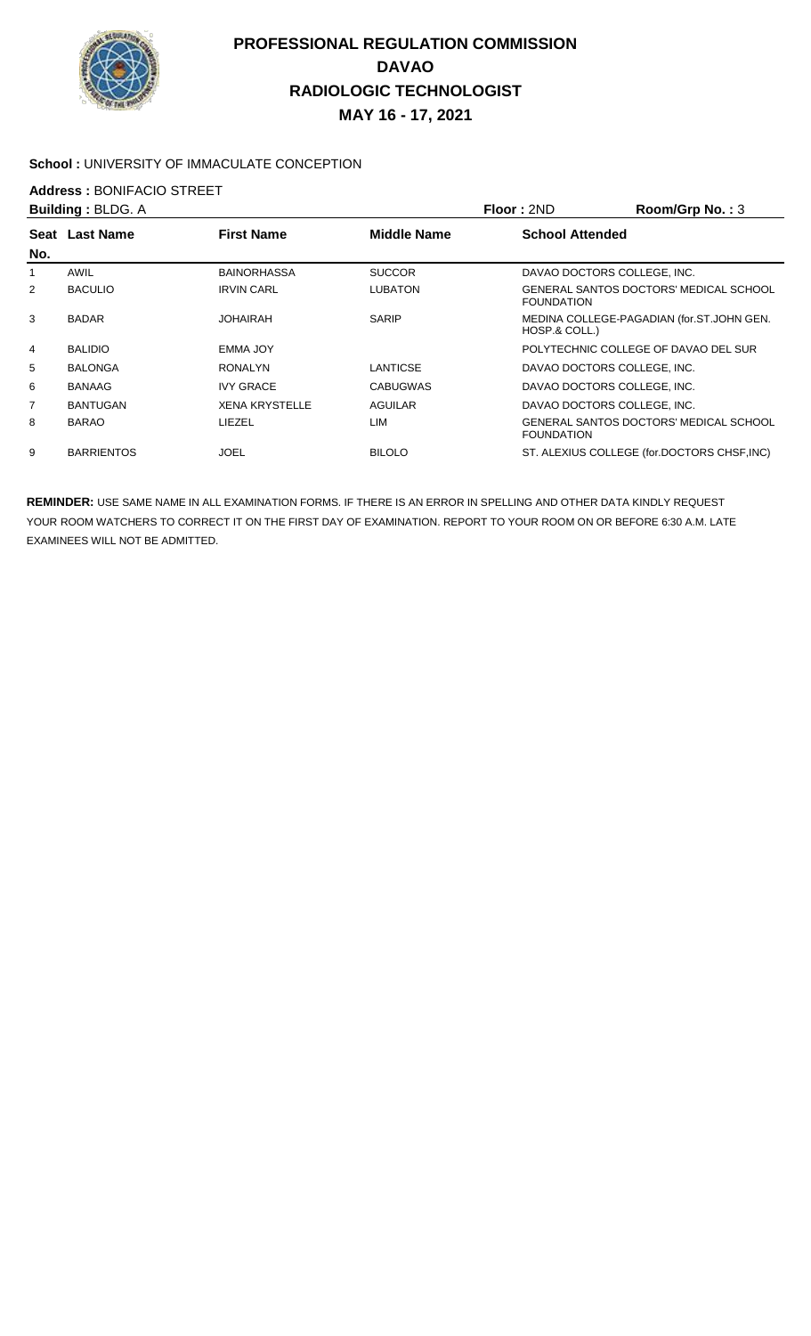

#### School : UNIVERSITY OF IMMACULATE CONCEPTION

# **Address : BONIFACIO STREET**<br>**Building : BLDG A**

| <b>Building: BLDG. A</b> |                   | Floor: 2ND            | Room/Grp No.: 3    |                        |                                               |
|--------------------------|-------------------|-----------------------|--------------------|------------------------|-----------------------------------------------|
|                          | Seat Last Name    | <b>First Name</b>     | <b>Middle Name</b> | <b>School Attended</b> |                                               |
| No.                      |                   |                       |                    |                        |                                               |
|                          | AWIL              | <b>BAINORHASSA</b>    | <b>SUCCOR</b>      |                        | DAVAO DOCTORS COLLEGE. INC.                   |
| 2                        | <b>BACULIO</b>    | <b>IRVIN CARL</b>     | <b>LUBATON</b>     | <b>FOUNDATION</b>      | GENERAL SANTOS DOCTORS' MEDICAL SCHOOL        |
| 3                        | <b>BADAR</b>      | <b>JOHAIRAH</b>       | <b>SARIP</b>       | HOSP.& COLL.)          | MEDINA COLLEGE-PAGADIAN (for.ST.JOHN GEN.     |
| 4                        | <b>BALIDIO</b>    | <b>EMMA JOY</b>       |                    |                        | POLYTECHNIC COLLEGE OF DAVAO DEL SUR          |
| 5                        | <b>BALONGA</b>    | <b>RONALYN</b>        | LANTICSE           |                        | DAVAO DOCTORS COLLEGE, INC.                   |
| 6                        | <b>BANAAG</b>     | <b>IVY GRACE</b>      | <b>CABUGWAS</b>    |                        | DAVAO DOCTORS COLLEGE, INC.                   |
| 7                        | <b>BANTUGAN</b>   | <b>XENA KRYSTELLE</b> | <b>AGUILAR</b>     |                        | DAVAO DOCTORS COLLEGE. INC.                   |
| 8                        | <b>BARAO</b>      | LIEZEL                | LIM                | <b>FOUNDATION</b>      | <b>GENERAL SANTOS DOCTORS' MEDICAL SCHOOL</b> |
| 9                        | <b>BARRIENTOS</b> | JOEL                  | <b>BILOLO</b>      |                        | ST. ALEXIUS COLLEGE (for.DOCTORS CHSF, INC)   |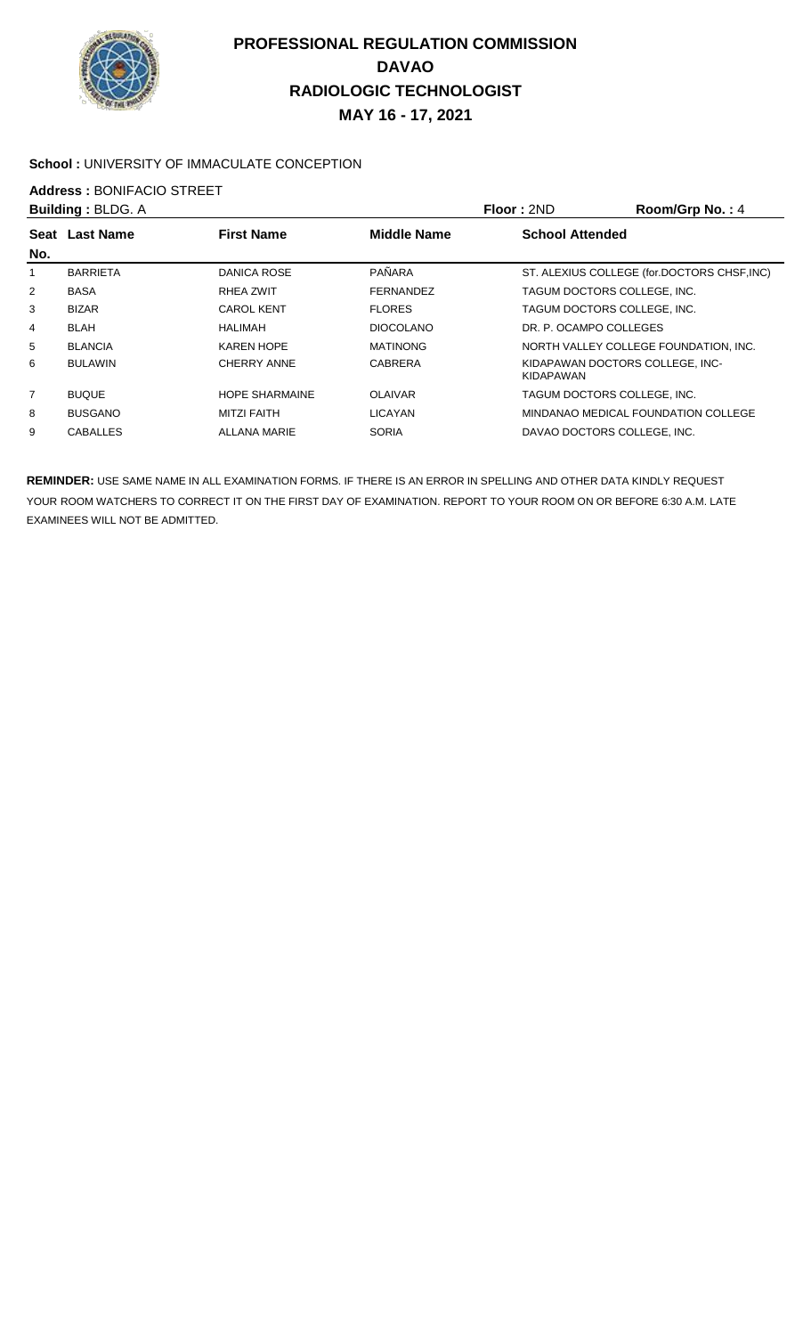

#### School : UNIVERSITY OF IMMACULATE CONCEPTION

# **Address : BONIFACIO STREET**<br>**Building : BLDG A**

| <b>Building: BLDG. A</b> |                  |                       |                    | Floor: 2ND                                   | Room/Grp No.: 4                             |
|--------------------------|------------------|-----------------------|--------------------|----------------------------------------------|---------------------------------------------|
| Seat                     | <b>Last Name</b> | <b>First Name</b>     | <b>Middle Name</b> | <b>School Attended</b>                       |                                             |
| No.                      |                  |                       |                    |                                              |                                             |
|                          | <b>BARRIETA</b>  | DANICA ROSE           | PAÑARA             |                                              | ST. ALEXIUS COLLEGE (for.DOCTORS CHSF, INC) |
| $\overline{2}$           | <b>BASA</b>      | RHEA ZWIT             | <b>FERNANDEZ</b>   | TAGUM DOCTORS COLLEGE. INC.                  |                                             |
| 3                        | <b>BIZAR</b>     | <b>CAROL KENT</b>     | <b>FLORES</b>      | TAGUM DOCTORS COLLEGE. INC.                  |                                             |
| 4                        | <b>BLAH</b>      | HALIMAH               | <b>DIOCOLANO</b>   | DR. P. OCAMPO COLLEGES                       |                                             |
| 5                        | <b>BLANCIA</b>   | <b>KAREN HOPE</b>     | <b>MATINONG</b>    |                                              | NORTH VALLEY COLLEGE FOUNDATION. INC.       |
| 6                        | <b>BULAWIN</b>   | CHERRY ANNE           | <b>CABRERA</b>     | KIDAPAWAN DOCTORS COLLEGE. INC-<br>KIDAPAWAN |                                             |
| 7                        | <b>BUQUE</b>     | <b>HOPE SHARMAINE</b> | <b>OLAIVAR</b>     | TAGUM DOCTORS COLLEGE, INC.                  |                                             |
| 8                        | <b>BUSGANO</b>   | <b>MITZI FAITH</b>    | <b>LICAYAN</b>     |                                              | MINDANAO MEDICAL FOUNDATION COLLEGE         |
| 9                        | <b>CABALLES</b>  | ALLANA MARIE          | <b>SORIA</b>       | DAVAO DOCTORS COLLEGE, INC.                  |                                             |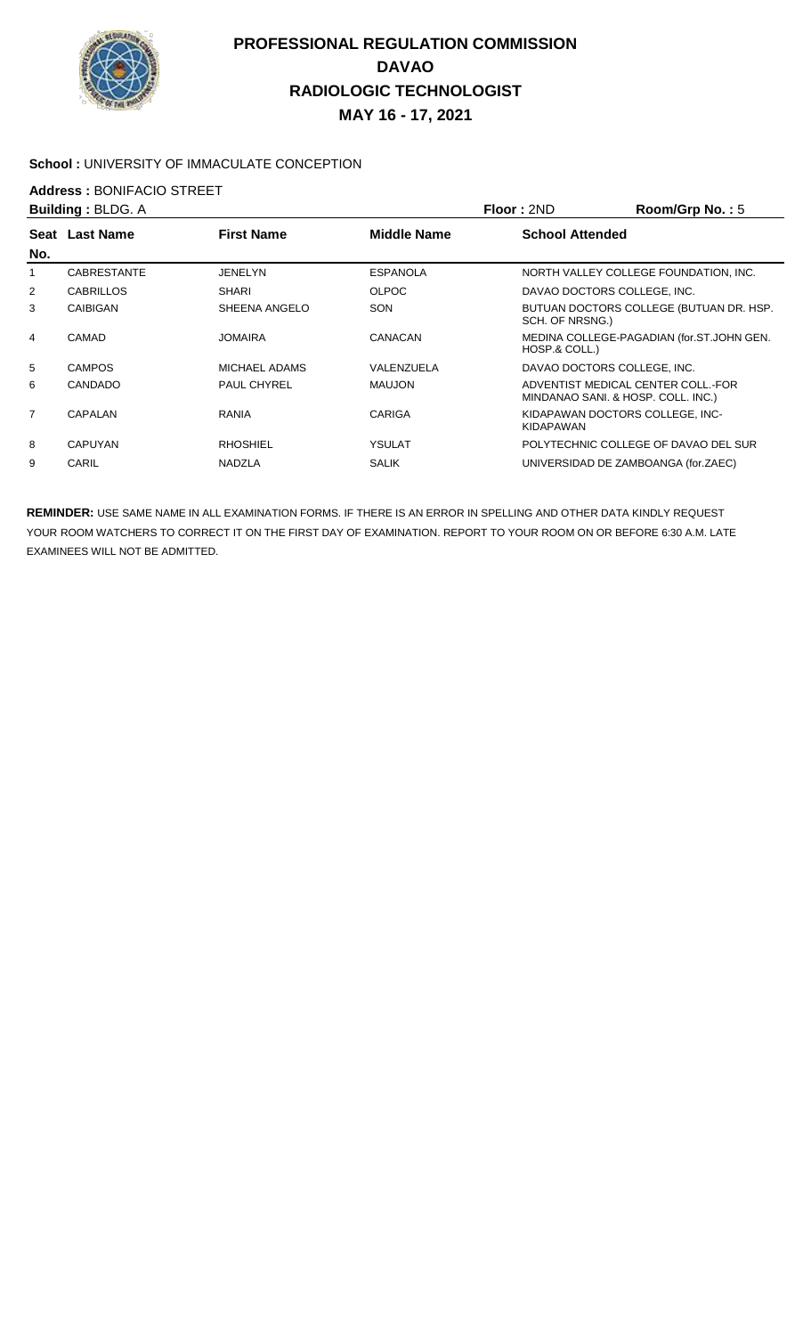

#### **School :** UNIVERSITY OF IMMACULATE CONCEPTION

# **Address : BONIFACIO STREET**<br>**Building : BLDG A**

| <b>Building: BLDG. A</b> |                    | <b>Floor: 2ND</b>  | Room/Grp No.: 5    |                        |                                                                          |
|--------------------------|--------------------|--------------------|--------------------|------------------------|--------------------------------------------------------------------------|
| Seat<br>No.              | <b>Last Name</b>   | <b>First Name</b>  | <b>Middle Name</b> | <b>School Attended</b> |                                                                          |
|                          | <b>CABRESTANTE</b> | <b>JENELYN</b>     | <b>ESPANOLA</b>    |                        | NORTH VALLEY COLLEGE FOUNDATION, INC.                                    |
| $\overline{2}$           | <b>CABRILLOS</b>   | <b>SHARI</b>       | <b>OLPOC</b>       |                        | DAVAO DOCTORS COLLEGE, INC.                                              |
| 3                        | <b>CAIBIGAN</b>    | SHEENA ANGELO      | SON                | SCH. OF NRSNG.)        | BUTUAN DOCTORS COLLEGE (BUTUAN DR. HSP.                                  |
| 4                        | CAMAD              | <b>JOMAIRA</b>     | CANACAN            | HOSP.& COLL.)          | MEDINA COLLEGE-PAGADIAN (for.ST.JOHN GEN.                                |
| 5                        | <b>CAMPOS</b>      | MICHAEL ADAMS      | VALENZUELA         |                        | DAVAO DOCTORS COLLEGE, INC.                                              |
| 6                        | <b>CANDADO</b>     | <b>PAUL CHYREL</b> | <b>MAUJON</b>      |                        | ADVENTIST MEDICAL CENTER COLL. FOR<br>MINDANAO SANI. & HOSP. COLL. INC.) |
| $\overline{7}$           | CAPALAN            | <b>RANIA</b>       | <b>CARIGA</b>      | <b>KIDAPAWAN</b>       | KIDAPAWAN DOCTORS COLLEGE, INC-                                          |
| 8                        | <b>CAPUYAN</b>     | <b>RHOSHIEL</b>    | YSULAT             |                        | POLYTECHNIC COLLEGE OF DAVAO DEL SUR                                     |
| 9                        | CARIL              | <b>NADZLA</b>      | <b>SALIK</b>       |                        | UNIVERSIDAD DE ZAMBOANGA (for.ZAEC)                                      |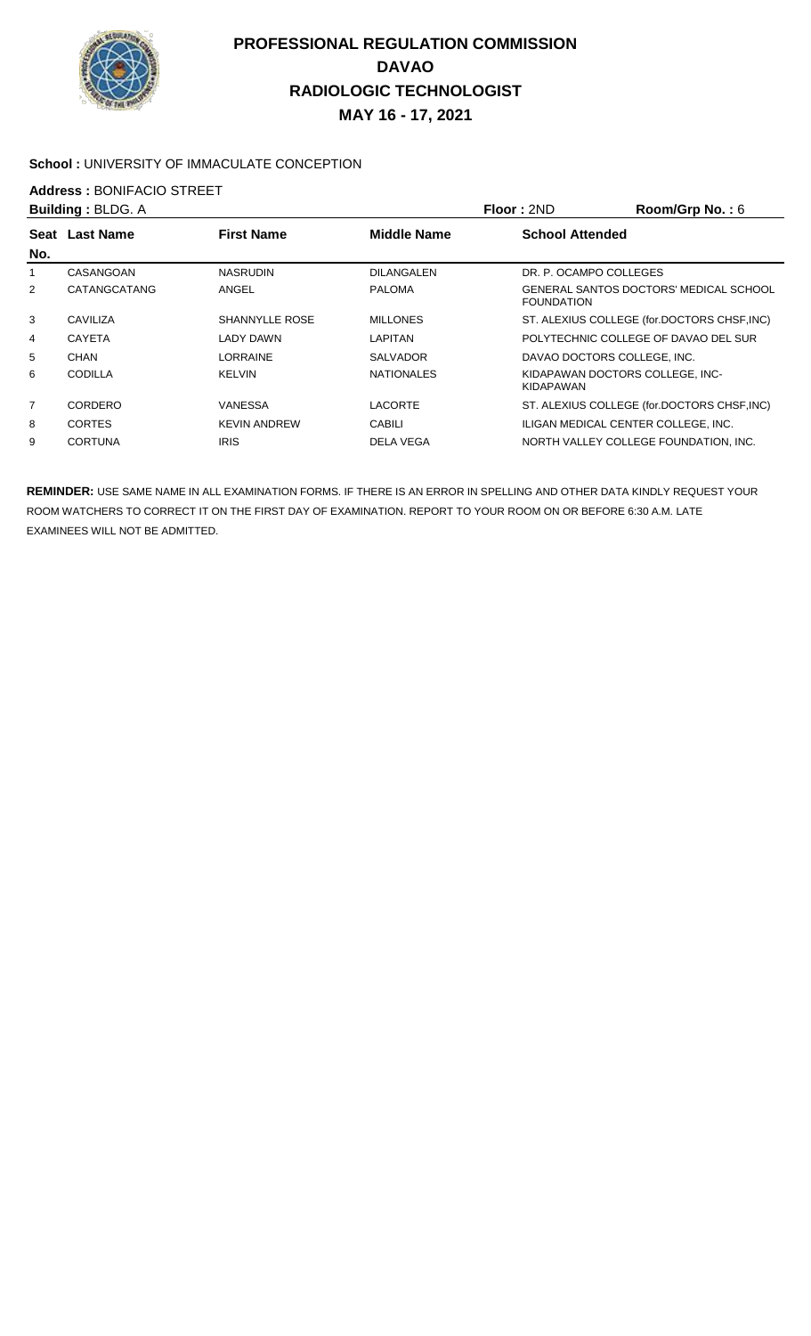

#### School : UNIVERSITY OF IMMACULATE CONCEPTION

## **Address : BONIFACIO STREET**<br>**Building : BLDG A**

| <b>Building: BLDG. A</b> |                       | Floor: 2ND         | Room/Grp No.: $6$      |                                             |
|--------------------------|-----------------------|--------------------|------------------------|---------------------------------------------|
| <b>Last Name</b>         | <b>First Name</b>     | <b>Middle Name</b> | <b>School Attended</b> |                                             |
|                          |                       |                    |                        |                                             |
| CASANGOAN                | <b>NASRUDIN</b>       | <b>DILANGALEN</b>  | DR. P. OCAMPO COLLEGES |                                             |
| CATANGCATANG             | ANGEL                 | <b>PALOMA</b>      | <b>FOUNDATION</b>      | GENERAL SANTOS DOCTORS' MEDICAL SCHOOL      |
| CAVILIZA                 | <b>SHANNYLLE ROSE</b> | <b>MILLONES</b>    |                        | ST. ALEXIUS COLLEGE (for.DOCTORS CHSF, INC) |
| <b>CAYETA</b>            | <b>LADY DAWN</b>      | LAPITAN            |                        | POLYTECHNIC COLLEGE OF DAVAO DEL SUR        |
| CHAN                     | LORRAINE              | <b>SALVADOR</b>    |                        | DAVAO DOCTORS COLLEGE. INC.                 |
| <b>CODILLA</b>           | <b>KELVIN</b>         | <b>NATIONALES</b>  | KIDAPAWAN              | KIDAPAWAN DOCTORS COLLEGE. INC-             |
| CORDERO                  | VANESSA               | <b>LACORTE</b>     |                        | ST. ALEXIUS COLLEGE (for.DOCTORS CHSF, INC) |
| <b>CORTES</b>            | <b>KEVIN ANDREW</b>   | CABILI             |                        | ILIGAN MEDICAL CENTER COLLEGE, INC.         |
| <b>CORTUNA</b>           | <b>IRIS</b>           | DELA VEGA          |                        | NORTH VALLEY COLLEGE FOUNDATION, INC.       |
|                          | Seat                  |                    |                        |                                             |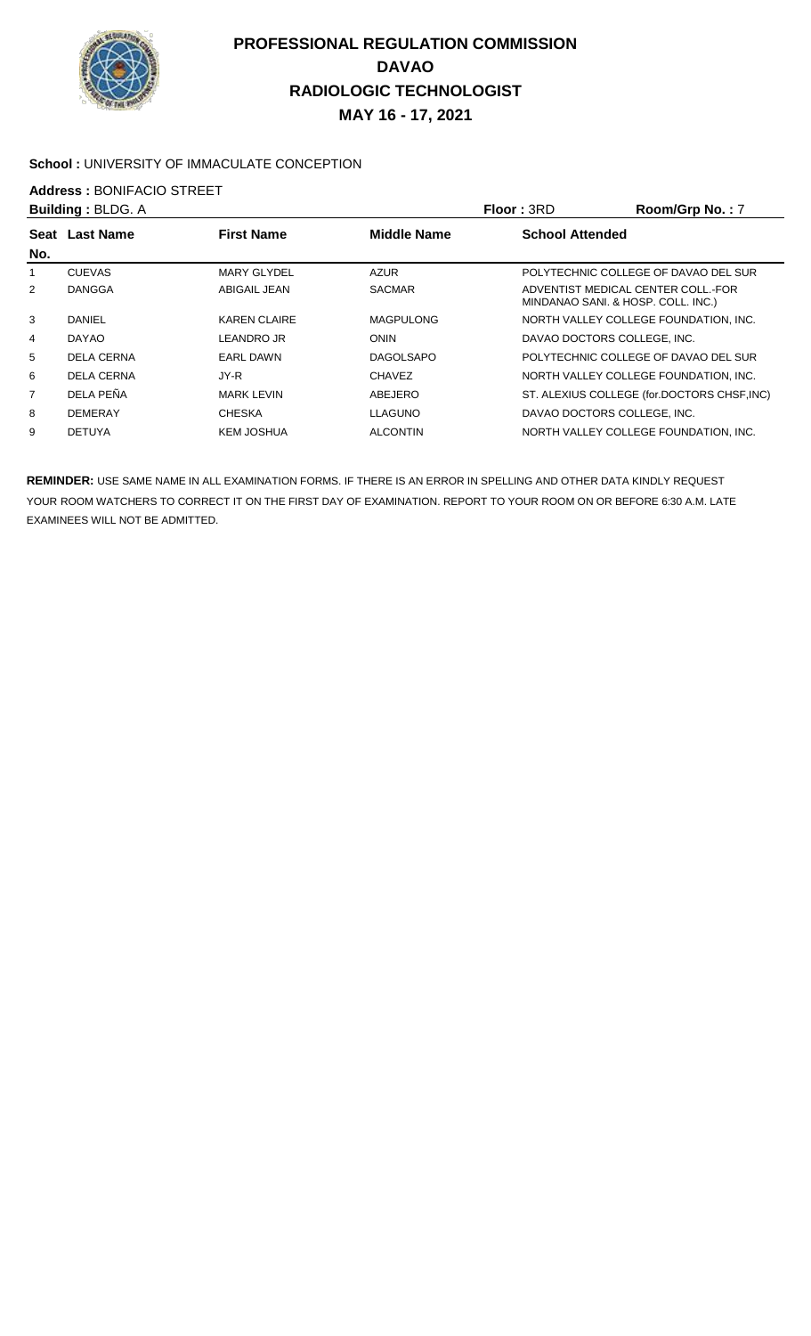

#### School : UNIVERSITY OF IMMACULATE CONCEPTION

## **Address : BONIFACIO STREET**<br>**Building : BLDG A**

| <b>Building: BLDG. A</b> |                   | <b>Floor: 3RD</b>   | Room/Grp No.: 7    |                        |                                                                          |
|--------------------------|-------------------|---------------------|--------------------|------------------------|--------------------------------------------------------------------------|
| Seat                     | <b>Last Name</b>  | <b>First Name</b>   | <b>Middle Name</b> | <b>School Attended</b> |                                                                          |
| No.                      |                   |                     |                    |                        |                                                                          |
|                          | <b>CUEVAS</b>     | <b>MARY GLYDEL</b>  | <b>AZUR</b>        |                        | POLYTECHNIC COLLEGE OF DAVAO DEL SUR                                     |
| 2                        | <b>DANGGA</b>     | ABIGAIL JEAN        | <b>SACMAR</b>      |                        | ADVENTIST MEDICAL CENTER COLL. FOR<br>MINDANAO SANI. & HOSP. COLL. INC.) |
| 3                        | <b>DANIEL</b>     | <b>KAREN CLAIRE</b> | <b>MAGPULONG</b>   |                        | NORTH VALLEY COLLEGE FOUNDATION, INC.                                    |
| 4                        | <b>DAYAO</b>      | LEANDRO JR          | <b>ONIN</b>        |                        | DAVAO DOCTORS COLLEGE. INC.                                              |
| 5                        | <b>DELA CERNA</b> | <b>EARL DAWN</b>    | <b>DAGOLSAPO</b>   |                        | POLYTECHNIC COLLEGE OF DAVAO DEL SUR                                     |
| 6                        | DELA CERNA        | JY-R                | <b>CHAVEZ</b>      |                        | NORTH VALLEY COLLEGE FOUNDATION, INC.                                    |
| $\overline{7}$           | DELA PEÑA         | <b>MARK LEVIN</b>   | ABEJERO            |                        | ST. ALEXIUS COLLEGE (for.DOCTORS CHSF, INC)                              |
| 8                        | <b>DEMERAY</b>    | <b>CHESKA</b>       | LLAGUNO            |                        | DAVAO DOCTORS COLLEGE, INC.                                              |
| 9                        | <b>DETUYA</b>     | KEM JOSHUA          | <b>ALCONTIN</b>    |                        | NORTH VALLEY COLLEGE FOUNDATION, INC.                                    |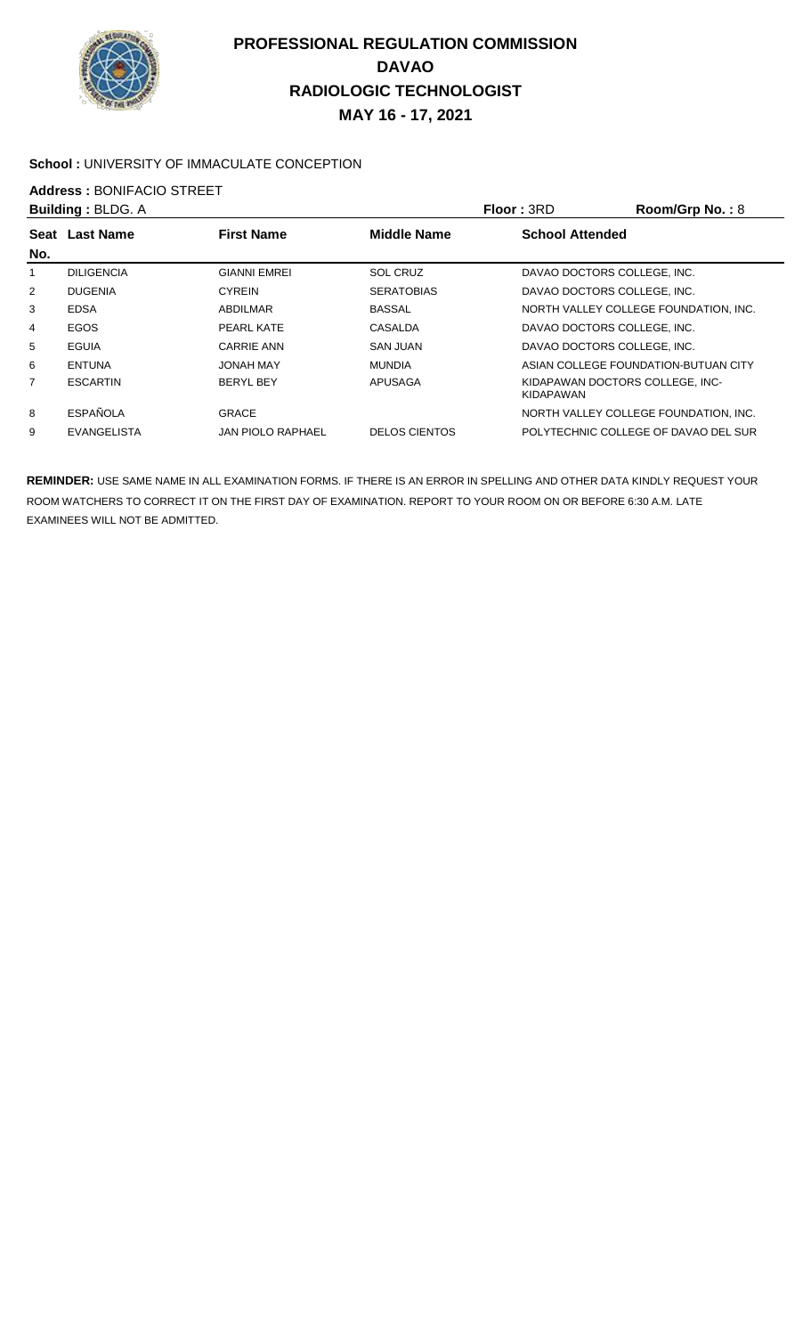

#### **School :** UNIVERSITY OF IMMACULATE CONCEPTION

**Address :** BONIFACIO STREET

| <b>Building: BLDG. A</b> |                    |                          | Floor: 3RD           | Room/Grp No.: 8             |                                       |
|--------------------------|--------------------|--------------------------|----------------------|-----------------------------|---------------------------------------|
| Seat                     | <b>Last Name</b>   | <b>First Name</b>        | <b>Middle Name</b>   | <b>School Attended</b>      |                                       |
| No.                      |                    |                          |                      |                             |                                       |
|                          | <b>DILIGENCIA</b>  | <b>GIANNI EMREI</b>      | <b>SOL CRUZ</b>      | DAVAO DOCTORS COLLEGE, INC. |                                       |
| $\overline{2}$           | <b>DUGENIA</b>     | <b>CYREIN</b>            | <b>SERATOBIAS</b>    | DAVAO DOCTORS COLLEGE. INC. |                                       |
| 3                        | <b>EDSA</b>        | ABDILMAR                 | <b>BASSAL</b>        |                             | NORTH VALLEY COLLEGE FOUNDATION, INC. |
| 4                        | <b>EGOS</b>        | PEARL KATE               | CASALDA              | DAVAO DOCTORS COLLEGE, INC. |                                       |
| 5                        | EGUIA              | <b>CARRIE ANN</b>        | <b>SAN JUAN</b>      | DAVAO DOCTORS COLLEGE. INC. |                                       |
| 6                        | <b>ENTUNA</b>      | <b>JONAH MAY</b>         | <b>MUNDIA</b>        |                             | ASIAN COLLEGE FOUNDATION-BUTUAN CITY  |
| 7                        | <b>ESCARTIN</b>    | <b>BERYL BEY</b>         | APUSAGA              | KIDAPAWAN                   | KIDAPAWAN DOCTORS COLLEGE. INC-       |
| 8                        | <b>ESPAÑOLA</b>    | <b>GRACE</b>             |                      |                             | NORTH VALLEY COLLEGE FOUNDATION. INC. |
| 9                        | <b>EVANGELISTA</b> | <b>JAN PIOLO RAPHAEL</b> | <b>DELOS CIENTOS</b> |                             | POLYTECHNIC COLLEGE OF DAVAO DEL SUR  |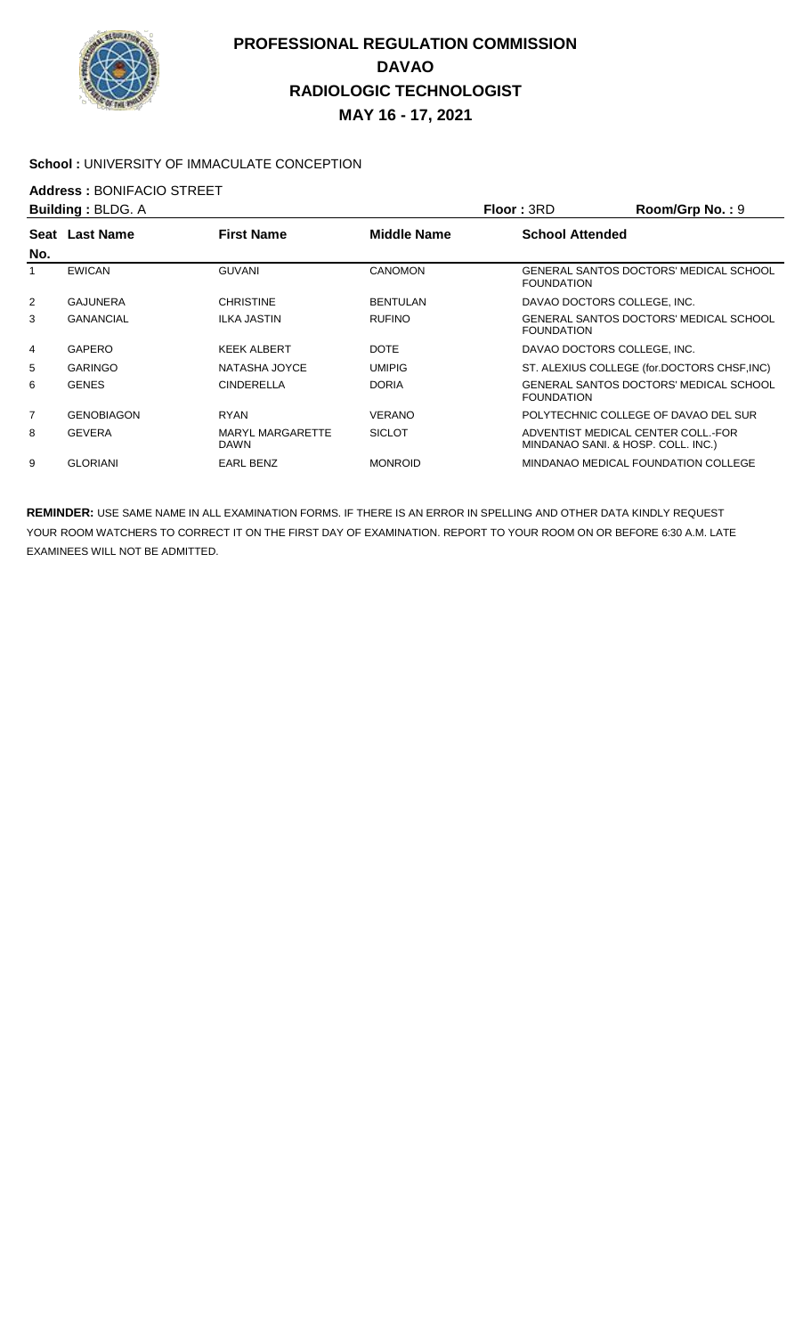

#### **School :** UNIVERSITY OF IMMACULATE CONCEPTION

## **Address :** BONIFACIO STREET

| <b>Building: BLDG. A</b> |                   |                                        | <b>Floor: 3RD</b> | Room/Grp No.: 9        |                                                                          |
|--------------------------|-------------------|----------------------------------------|-------------------|------------------------|--------------------------------------------------------------------------|
| Seat<br>No.              | <b>Last Name</b>  | <b>First Name</b>                      | Middle Name       | <b>School Attended</b> |                                                                          |
|                          | <b>EWICAN</b>     | <b>GUVANI</b>                          | <b>CANOMON</b>    | <b>FOUNDATION</b>      | GENERAL SANTOS DOCTORS' MEDICAL SCHOOL                                   |
| $\overline{2}$           | <b>GAJUNERA</b>   | <b>CHRISTINE</b>                       | <b>BENTULAN</b>   |                        | DAVAO DOCTORS COLLEGE, INC.                                              |
| 3                        | <b>GANANCIAL</b>  | <b>ILKA JASTIN</b>                     | <b>RUFINO</b>     | <b>FOUNDATION</b>      | GENERAL SANTOS DOCTORS' MEDICAL SCHOOL                                   |
| $\overline{4}$           | GAPERO            | <b>KEEK ALBERT</b>                     | <b>DOTE</b>       |                        | DAVAO DOCTORS COLLEGE. INC.                                              |
| 5                        | <b>GARINGO</b>    | NATASHA JOYCE                          | <b>UMIPIG</b>     |                        | ST. ALEXIUS COLLEGE (for.DOCTORS CHSF, INC)                              |
| 6                        | <b>GENES</b>      | <b>CINDERELLA</b>                      | <b>DORIA</b>      | <b>FOUNDATION</b>      | GENERAL SANTOS DOCTORS' MEDICAL SCHOOL                                   |
| 7                        | <b>GENOBIAGON</b> | <b>RYAN</b>                            | <b>VERANO</b>     |                        | POLYTECHNIC COLLEGE OF DAVAO DEL SUR                                     |
| 8                        | <b>GEVERA</b>     | <b>MARYL MARGARETTE</b><br><b>DAWN</b> | <b>SICLOT</b>     |                        | ADVENTIST MEDICAL CENTER COLL.-FOR<br>MINDANAO SANI. & HOSP. COLL. INC.) |
| 9                        | <b>GLORIANI</b>   | EARL BENZ                              | <b>MONROID</b>    |                        | MINDANAO MEDICAL FOUNDATION COLLEGE.                                     |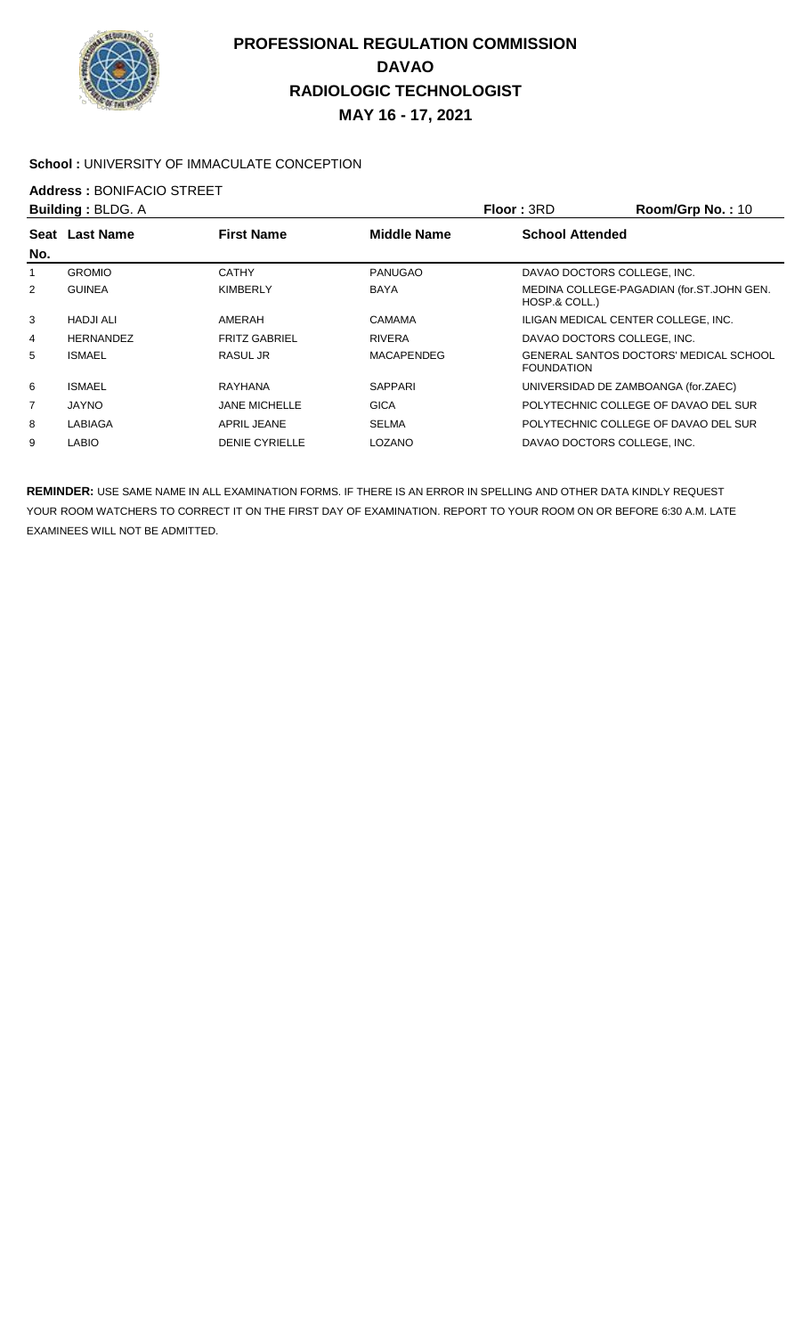

#### School : UNIVERSITY OF IMMACULATE CONCEPTION

**Address : BONIFACIO STREET**<br>**Building : BLDG A** 

| <b>Building: BLDG. A</b> |                  |                       | <b>Floor: 3RD</b>  | Room/Grp No.: 10            |                                               |
|--------------------------|------------------|-----------------------|--------------------|-----------------------------|-----------------------------------------------|
| Seat                     | <b>Last Name</b> | <b>First Name</b>     | <b>Middle Name</b> | <b>School Attended</b>      |                                               |
| No.                      |                  |                       |                    |                             |                                               |
| 1                        | <b>GROMIO</b>    | <b>CATHY</b>          | <b>PANUGAO</b>     | DAVAO DOCTORS COLLEGE, INC. |                                               |
| 2                        | <b>GUINEA</b>    | <b>KIMBERLY</b>       | <b>BAYA</b>        | HOSP.& COLL.)               | MEDINA COLLEGE-PAGADIAN (for.ST.JOHN GEN.     |
| 3                        | <b>HADJI ALI</b> | AMERAH                | CAMAMA             |                             | ILIGAN MEDICAL CENTER COLLEGE, INC.           |
| 4                        | HERNANDEZ        | <b>FRITZ GABRIEL</b>  | <b>RIVERA</b>      | DAVAO DOCTORS COLLEGE. INC. |                                               |
| 5                        | <b>ISMAEL</b>    | RASUL JR              | <b>MACAPENDEG</b>  | <b>FOUNDATION</b>           | <b>GENERAL SANTOS DOCTORS' MEDICAL SCHOOL</b> |
| 6                        | <b>ISMAEL</b>    | <b>RAYHANA</b>        | <b>SAPPARI</b>     |                             | UNIVERSIDAD DE ZAMBOANGA (for.ZAEC)           |
| 7                        | <b>JAYNO</b>     | <b>JANE MICHELLE</b>  | GICA               |                             | POLYTECHNIC COLLEGE OF DAVAO DEL SUR          |
| 8                        | LABIAGA          | <b>APRIL JEANE</b>    | <b>SELMA</b>       |                             | POLYTECHNIC COLLEGE OF DAVAO DEL SUR          |
| 9                        | LABIO            | <b>DENIE CYRIELLE</b> | LOZANO             | DAVAO DOCTORS COLLEGE. INC. |                                               |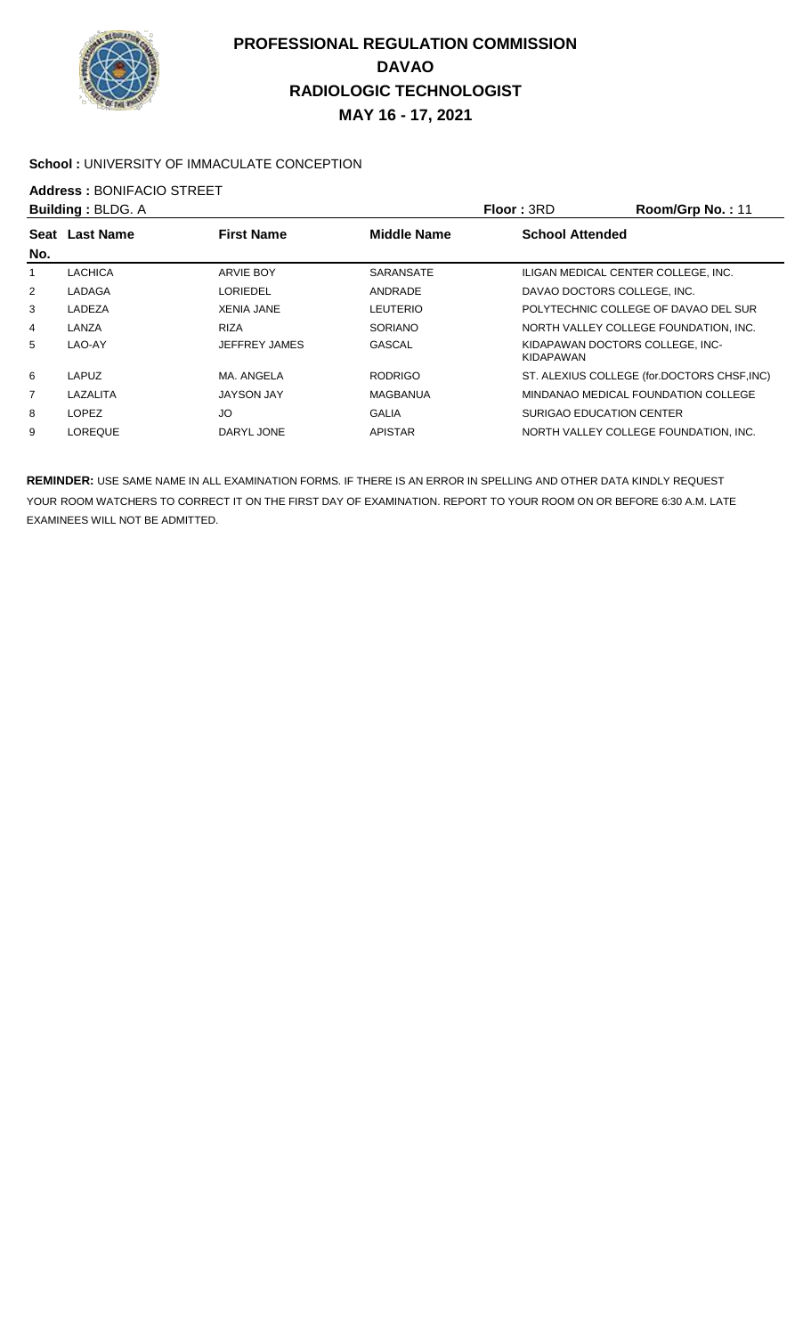

#### School : UNIVERSITY OF IMMACULATE CONCEPTION

# **Address : BONIFACIO STREET**<br>**Building : BLDG A**

|     | <b>Building: BLDG. A</b>                                            |                      |                        | <b>Floor: 3RD</b>        | Room/Grp No.: 11                            |
|-----|---------------------------------------------------------------------|----------------------|------------------------|--------------------------|---------------------------------------------|
|     | <b>First Name</b><br><b>Middle Name</b><br><b>Last Name</b><br>Seat |                      | <b>School Attended</b> |                          |                                             |
| No. |                                                                     |                      |                        |                          |                                             |
|     | <b>LACHICA</b>                                                      | <b>ARVIE BOY</b>     | <b>SARANSATE</b>       |                          | ILIGAN MEDICAL CENTER COLLEGE, INC.         |
| 2   | LADAGA                                                              | <b>LORIEDEL</b>      | ANDRADE                |                          | DAVAO DOCTORS COLLEGE. INC.                 |
| 3   | LADEZA                                                              | <b>XENIA JANE</b>    | LEUTERIO               |                          | POLYTECHNIC COLLEGE OF DAVAO DEL SUR        |
| 4   | LANZA                                                               | <b>RIZA</b>          | <b>SORIANO</b>         |                          | NORTH VALLEY COLLEGE FOUNDATION, INC.       |
| 5   | LAO-AY                                                              | <b>JEFFREY JAMES</b> | GASCAL                 | KIDAPAWAN                | KIDAPAWAN DOCTORS COLLEGE. INC-             |
| 6   | LAPUZ                                                               | MA. ANGELA           | <b>RODRIGO</b>         |                          | ST. ALEXIUS COLLEGE (for.DOCTORS CHSF, INC) |
| 7   | LAZALITA                                                            | <b>JAYSON JAY</b>    | MAGBANUA               |                          | MINDANAO MEDICAL FOUNDATION COLLEGE         |
| 8   | <b>LOPEZ</b>                                                        | JO                   | <b>GALIA</b>           | SURIGAO EDUCATION CENTER |                                             |
| 9   | <b>LOREQUE</b>                                                      | DARYL JONE           | <b>APISTAR</b>         |                          | NORTH VALLEY COLLEGE FOUNDATION. INC.       |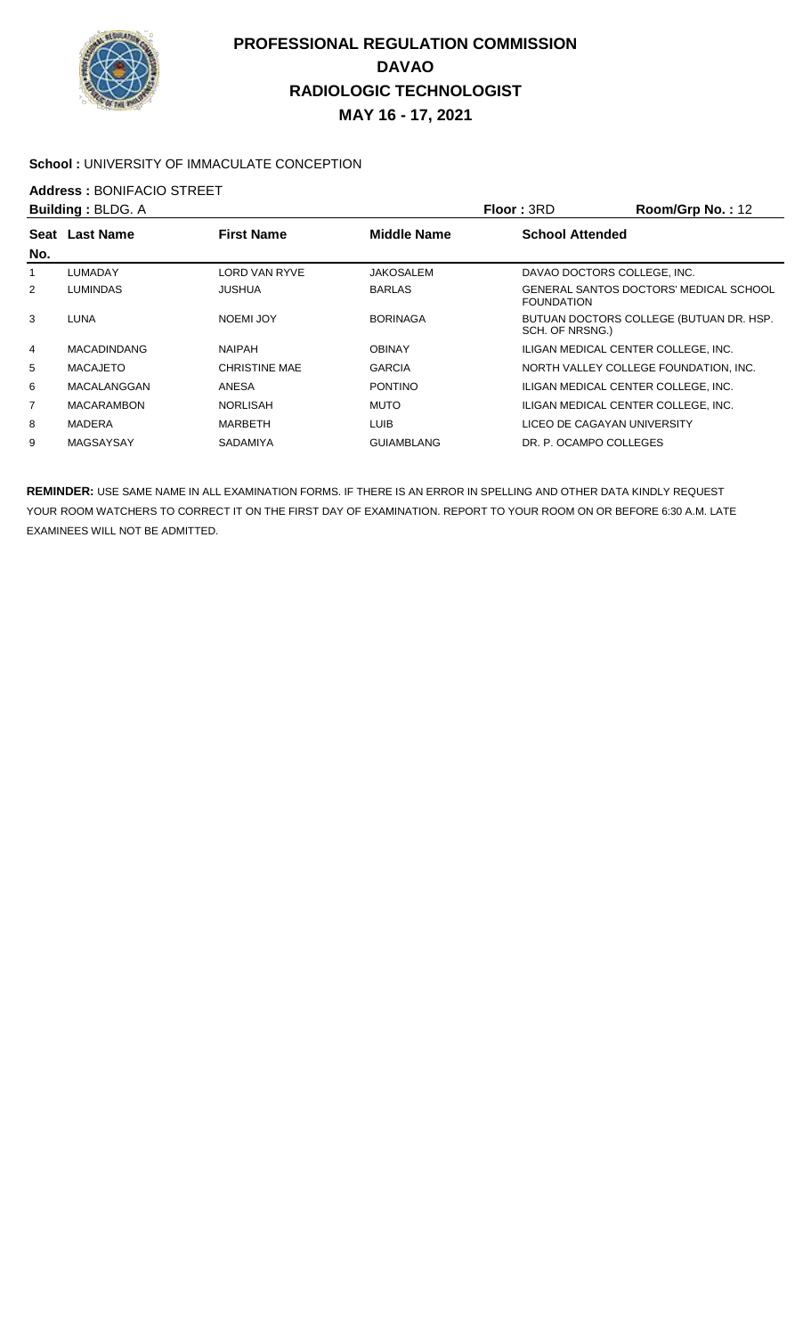

#### School : UNIVERSITY OF IMMACULATE CONCEPTION

# **Address : BONIFACIO STREET**<br>**Building : BLDG A**

| <b>Building: BLDG. A</b> |                                                             | Floor: 3RD           | Room/Grp No.: 12  |                        |                                         |
|--------------------------|-------------------------------------------------------------|----------------------|-------------------|------------------------|-----------------------------------------|
| Seat                     | <b>First Name</b><br><b>Middle Name</b><br><b>Last Name</b> |                      |                   | <b>School Attended</b> |                                         |
| No.                      |                                                             |                      |                   |                        |                                         |
|                          | <b>LUMADAY</b>                                              | <b>LORD VAN RYVE</b> | <b>JAKOSALEM</b>  |                        | DAVAO DOCTORS COLLEGE, INC.             |
| 2                        | <b>LUMINDAS</b>                                             | JUSHUA               | <b>BARLAS</b>     | <b>FOUNDATION</b>      | GENERAL SANTOS DOCTORS' MEDICAL SCHOOL  |
| 3                        | <b>LUNA</b>                                                 | NOEMI JOY            | <b>BORINAGA</b>   | SCH. OF NRSNG.)        | BUTUAN DOCTORS COLLEGE (BUTUAN DR. HSP. |
| 4                        | <b>MACADINDANG</b>                                          | <b>NAIPAH</b>        | <b>OBINAY</b>     |                        | ILIGAN MEDICAL CENTER COLLEGE, INC.     |
| 5                        | <b>MACAJETO</b>                                             | <b>CHRISTINE MAE</b> | <b>GARCIA</b>     |                        | NORTH VALLEY COLLEGE FOUNDATION, INC.   |
| 6                        | MACALANGGAN                                                 | ANESA                | <b>PONTINO</b>    |                        | ILIGAN MEDICAL CENTER COLLEGE. INC.     |
| 7                        | <b>MACARAMBON</b>                                           | NORLISAH             | <b>MUTO</b>       |                        | ILIGAN MEDICAL CENTER COLLEGE. INC.     |
| 8                        | <b>MADERA</b>                                               | <b>MARBETH</b>       | <b>LUIB</b>       |                        | LICEO DE CAGAYAN UNIVERSITY             |
| 9                        | MAGSAYSAY                                                   | <b>SADAMIYA</b>      | <b>GUIAMBLANG</b> | DR. P. OCAMPO COLLEGES |                                         |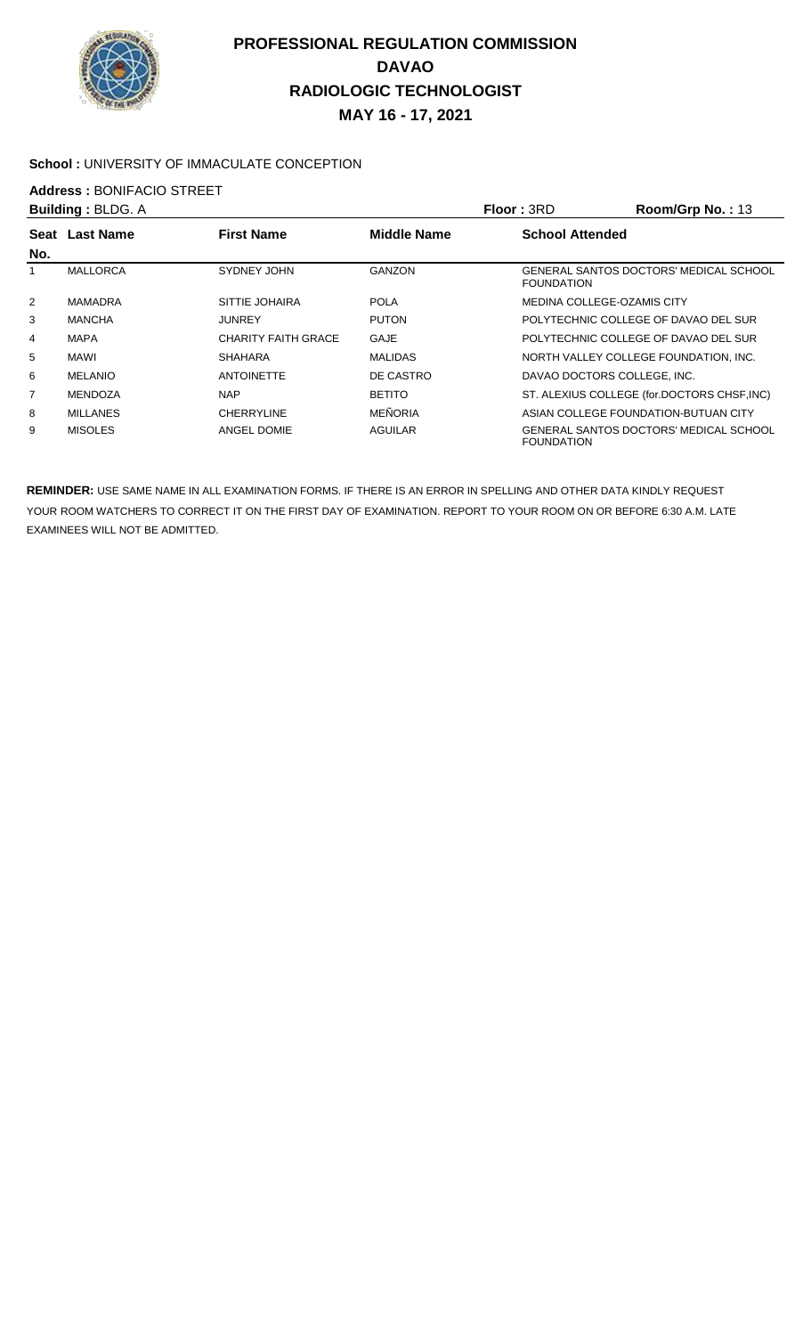

#### School : UNIVERSITY OF IMMACULATE CONCEPTION

## **Address :** BONIFACIO STREET

|                | <b>Building: BLDG. A</b> |                            |                    | <b>Floor: 3RD</b>           | Room/Grp No.: 13                            |
|----------------|--------------------------|----------------------------|--------------------|-----------------------------|---------------------------------------------|
| Seat           | <b>Last Name</b>         | <b>First Name</b>          | <b>Middle Name</b> | <b>School Attended</b>      |                                             |
| No.            |                          |                            |                    |                             |                                             |
|                | <b>MALLORCA</b>          | SYDNEY JOHN                | GANZON             | <b>FOUNDATION</b>           | GENERAL SANTOS DOCTORS' MEDICAL SCHOOL      |
| $\overline{2}$ | <b>MAMADRA</b>           | SITTIE JOHAIRA             | <b>POLA</b>        | MEDINA COLLEGE-OZAMIS CITY  |                                             |
| 3              | <b>MANCHA</b>            | <b>JUNREY</b>              | <b>PUTON</b>       |                             | POLYTECHNIC COLLEGE OF DAVAO DEL SUR        |
| $\overline{4}$ | <b>MAPA</b>              | <b>CHARITY FAITH GRACE</b> | GAJE               |                             | POLYTECHNIC COLLEGE OF DAVAO DEL SUR        |
| 5              | MAWI                     | <b>SHAHARA</b>             | <b>MALIDAS</b>     |                             | NORTH VALLEY COLLEGE FOUNDATION, INC.       |
| 6              | <b>MELANIO</b>           | <b>ANTOINETTE</b>          | DE CASTRO          | DAVAO DOCTORS COLLEGE. INC. |                                             |
| $\overline{7}$ | <b>MENDOZA</b>           | <b>NAP</b>                 | <b>BETITO</b>      |                             | ST. ALEXIUS COLLEGE (for.DOCTORS CHSF, INC) |
| 8              | <b>MILLANES</b>          | <b>CHERRYLINE</b>          | <b>MEÑORIA</b>     |                             | ASIAN COLLEGE FOUNDATION-BUTUAN CITY        |
| 9              | <b>MISOLES</b>           | ANGEL DOMIE                | <b>AGUILAR</b>     | <b>FOUNDATION</b>           | GENERAL SANTOS DOCTORS' MEDICAL SCHOOL      |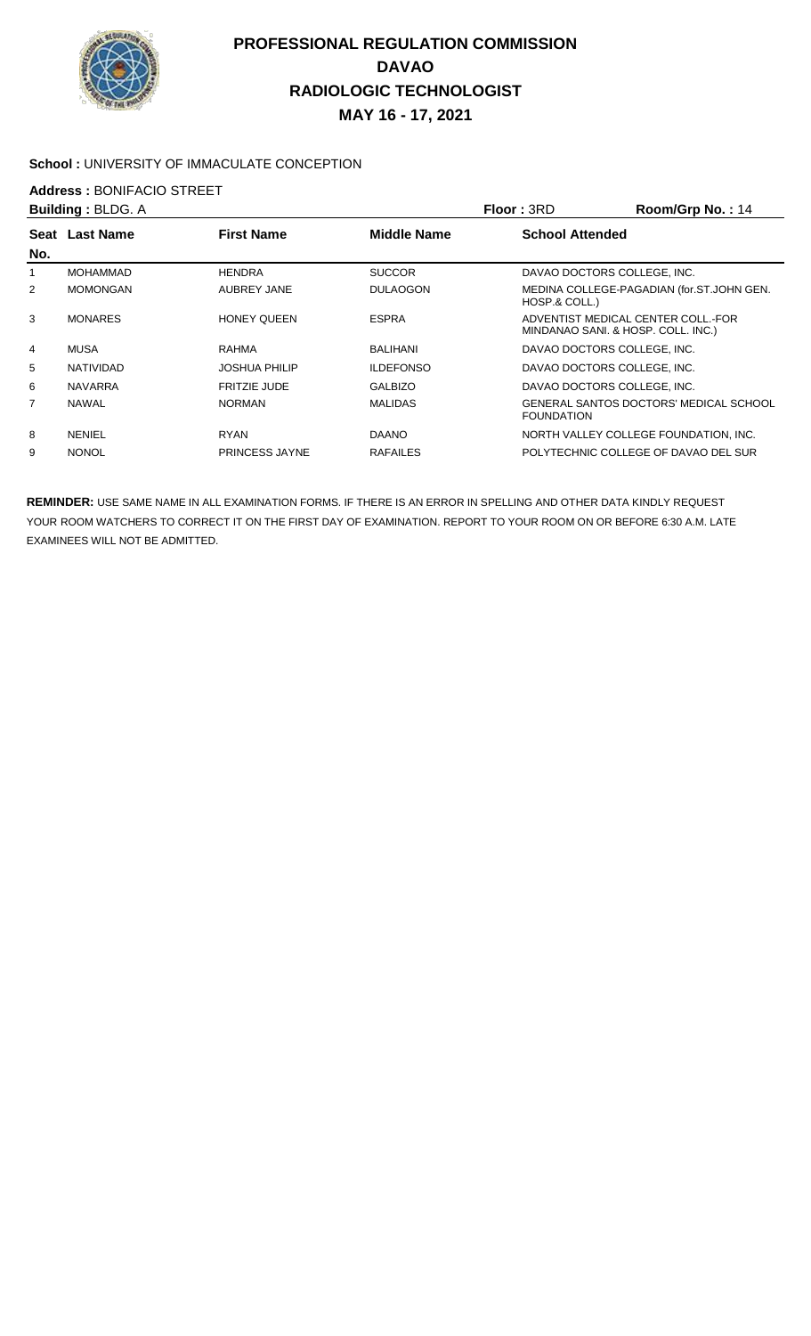

#### School : UNIVERSITY OF IMMACULATE CONCEPTION

## **Address : BONIFACIO STREET**<br>**Building : BLDG A**

|                | <b>Building: BLDG. A</b> |                      |                    | <b>Floor: 3RD</b>                  | Room/Grp No.: 14                              |
|----------------|--------------------------|----------------------|--------------------|------------------------------------|-----------------------------------------------|
|                | Seat Last Name           | <b>First Name</b>    | <b>Middle Name</b> | <b>School Attended</b>             |                                               |
| No.            |                          |                      |                    |                                    |                                               |
|                | <b>MOHAMMAD</b>          | <b>HENDRA</b>        | <b>SUCCOR</b>      | DAVAO DOCTORS COLLEGE. INC.        |                                               |
| 2              | <b>MOMONGAN</b>          | AUBREY JANE          | <b>DULAOGON</b>    | HOSP.& COLL.)                      | MEDINA COLLEGE-PAGADIAN (for.ST.JOHN GEN.     |
| 3              | <b>MONARES</b>           | <b>HONEY QUEEN</b>   | <b>ESPRA</b>       | MINDANAO SANI. & HOSP. COLL. INC.) | ADVENTIST MEDICAL CENTER COLL.-FOR            |
| $\overline{4}$ | <b>MUSA</b>              | RAHMA                | <b>BALIHANI</b>    | DAVAO DOCTORS COLLEGE. INC.        |                                               |
| 5              | NATIVIDAD                | <b>JOSHUA PHILIP</b> | <b>ILDEFONSO</b>   | DAVAO DOCTORS COLLEGE, INC.        |                                               |
| 6              | <b>NAVARRA</b>           | <b>FRITZIE JUDE</b>  | <b>GALBIZO</b>     | DAVAO DOCTORS COLLEGE, INC.        |                                               |
| 7              | <b>NAWAL</b>             | <b>NORMAN</b>        | <b>MALIDAS</b>     | <b>FOUNDATION</b>                  | <b>GENERAL SANTOS DOCTORS' MEDICAL SCHOOL</b> |
| 8              | <b>NENIEL</b>            | <b>RYAN</b>          | <b>DAANO</b>       |                                    | NORTH VALLEY COLLEGE FOUNDATION, INC.         |
| 9              | <b>NONOL</b>             | PRINCESS JAYNE       | <b>RAFAILES</b>    |                                    | POLYTECHNIC COLLEGE OF DAVAO DEL SUR          |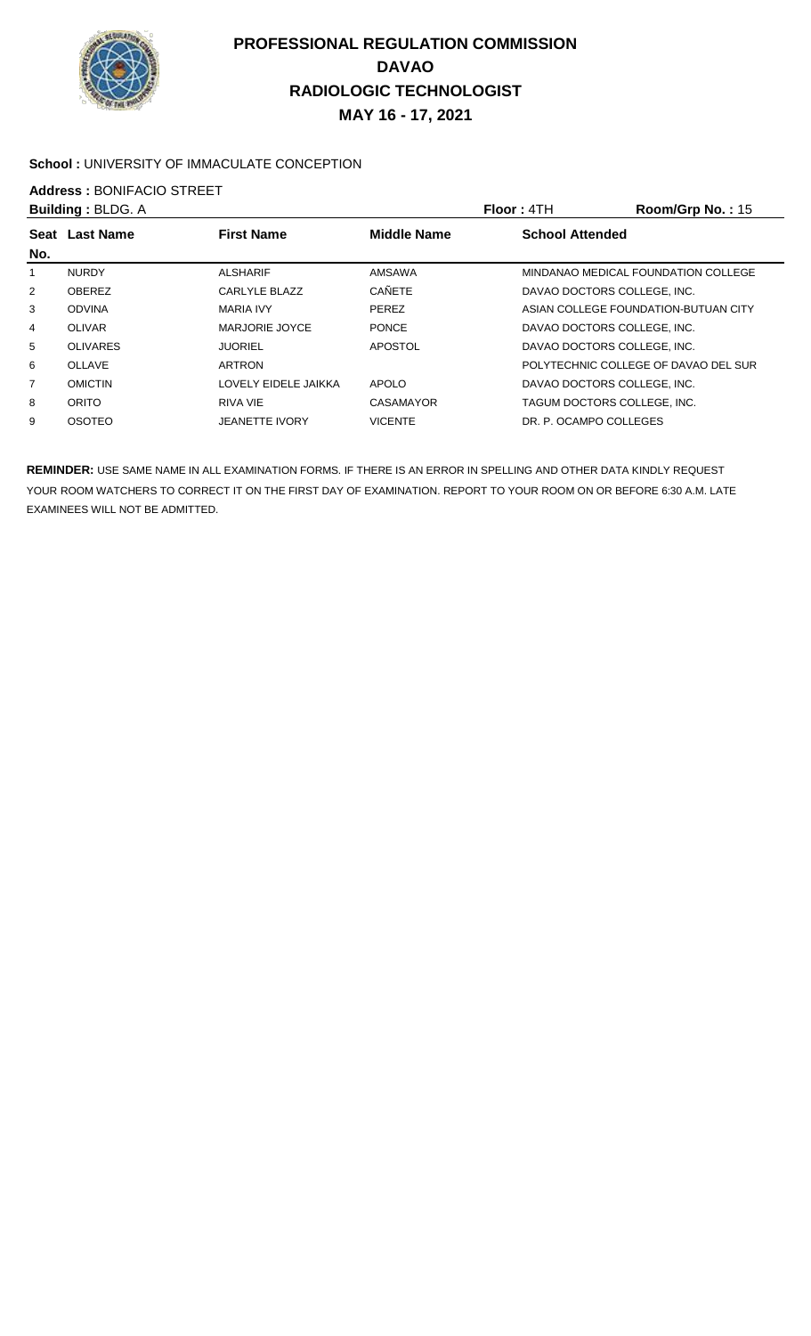

#### School : UNIVERSITY OF IMMACULATE CONCEPTION

**Address : BONIFACIO STREET**<br>**Building : BLDG A** 

| <b>Building: BLDG. A</b> |                       | Floor: 4TH         | Room/Grp No.: 15            |                                      |
|--------------------------|-----------------------|--------------------|-----------------------------|--------------------------------------|
| <b>Last Name</b>         | <b>First Name</b>     | <b>Middle Name</b> | <b>School Attended</b>      |                                      |
|                          |                       |                    |                             |                                      |
| <b>NURDY</b>             | <b>ALSHARIF</b>       | AMSAWA             |                             | MINDANAO MEDICAL FOUNDATION COLLEGE  |
| <b>OBEREZ</b>            | CARLYLE BLAZZ         | <b>CAÑETE</b>      | DAVAO DOCTORS COLLEGE. INC. |                                      |
| <b>ODVINA</b>            | <b>MARIA IVY</b>      | <b>PEREZ</b>       |                             | ASIAN COLLEGE FOUNDATION-BUTUAN CITY |
| <b>OLIVAR</b>            | MARJORIE JOYCE        | <b>PONCE</b>       | DAVAO DOCTORS COLLEGE. INC. |                                      |
| <b>OLIVARES</b>          | <b>JUORIEL</b>        | APOSTOL            | DAVAO DOCTORS COLLEGE. INC. |                                      |
| OLLAVE                   | <b>ARTRON</b>         |                    |                             | POLYTECHNIC COLLEGE OF DAVAO DEL SUR |
| <b>OMICTIN</b>           | LOVELY EIDELE JAIKKA  | <b>APOLO</b>       | DAVAO DOCTORS COLLEGE. INC. |                                      |
| ORITO                    | RIVA VIE              | CASAMAYOR          |                             | TAGUM DOCTORS COLLEGE. INC.          |
| <b>OSOTEO</b>            | <b>JEANETTE IVORY</b> | <b>VICENTE</b>     | DR. P. OCAMPO COLLEGES      |                                      |
|                          | Seat                  |                    |                             |                                      |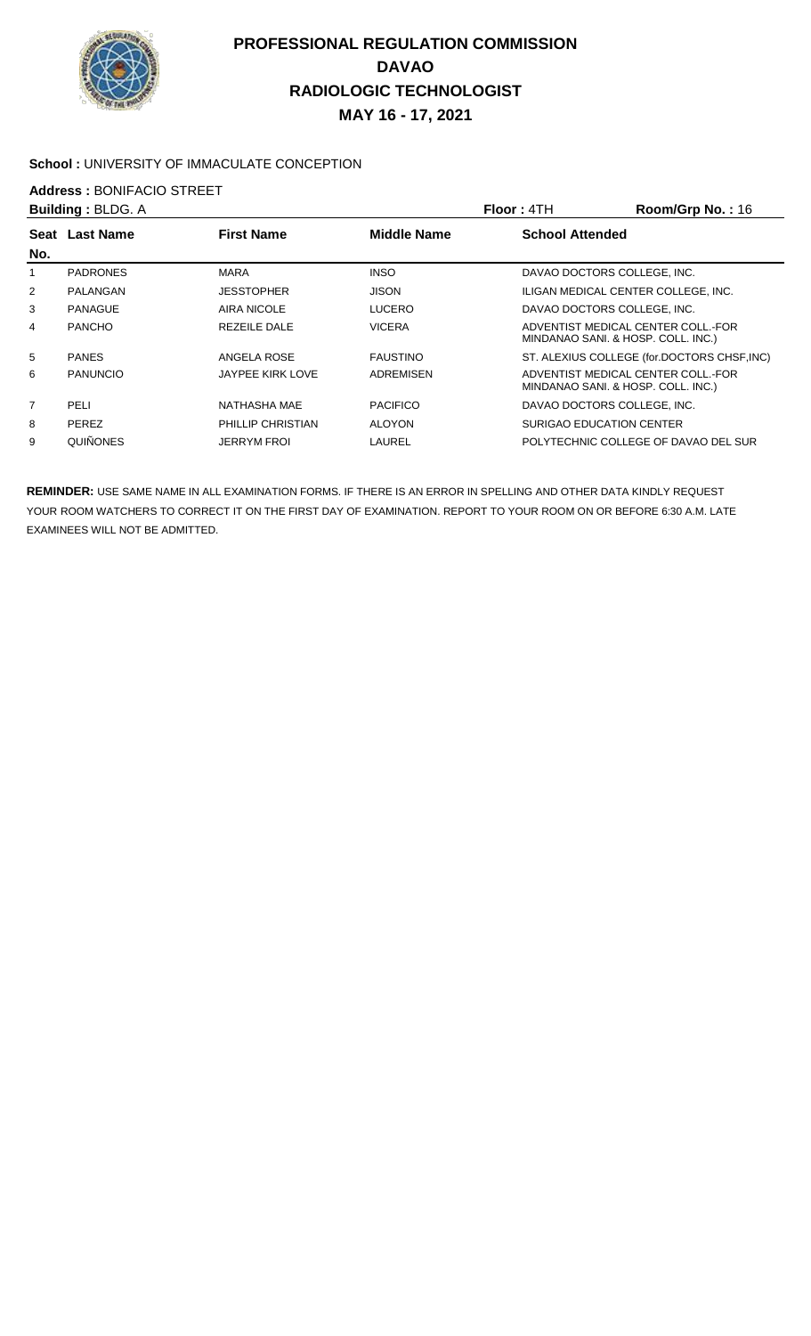

#### School : UNIVERSITY OF IMMACULATE CONCEPTION

**Address : BONIFACIO STREET**<br>**Building : BLDG A** 

|                | <b>Building: BLDG. A</b> |                    |                    | <b>Floor: 4TH</b>                   | Room/Grp No.: 16                            |
|----------------|--------------------------|--------------------|--------------------|-------------------------------------|---------------------------------------------|
| Seat           | <b>Last Name</b>         | <b>First Name</b>  | <b>Middle Name</b> | <b>School Attended</b>              |                                             |
| No.            |                          |                    |                    |                                     |                                             |
|                | <b>PADRONES</b>          | <b>MARA</b>        | <b>INSO</b>        | DAVAO DOCTORS COLLEGE, INC.         |                                             |
| $\overline{2}$ | PALANGAN                 | <b>JESSTOPHER</b>  | <b>JISON</b>       | ILIGAN MEDICAL CENTER COLLEGE, INC. |                                             |
| 3              | PANAGUE                  | AIRA NICOLE        | <b>LUCERO</b>      | DAVAO DOCTORS COLLEGE, INC.         |                                             |
| 4              | <b>PANCHO</b>            | REZEILE DALE       | <b>VICERA</b>      | MINDANAO SANI. & HOSP. COLL. INC.)  | ADVENTIST MEDICAL CENTER COLL.-FOR          |
| 5              | <b>PANES</b>             | ANGELA ROSE        | <b>FAUSTINO</b>    |                                     | ST. ALEXIUS COLLEGE (for.DOCTORS CHSF, INC) |
| 6              | <b>PANUNCIO</b>          | JAYPEE KIRK LOVE   | <b>ADREMISEN</b>   | MINDANAO SANI. & HOSP. COLL. INC.)  | ADVENTIST MEDICAL CENTER COLL.-FOR          |
| 7              | PELI                     | NATHASHA MAE       | <b>PACIFICO</b>    | DAVAO DOCTORS COLLEGE, INC.         |                                             |
| 8              | <b>PEREZ</b>             | PHILLIP CHRISTIAN  | <b>ALOYON</b>      | SURIGAO EDUCATION CENTER            |                                             |
| 9              | QUIÑONES                 | <b>JERRYM FROI</b> | LAUREL             |                                     | POLYTECHNIC COLLEGE OF DAVAO DEL SUR        |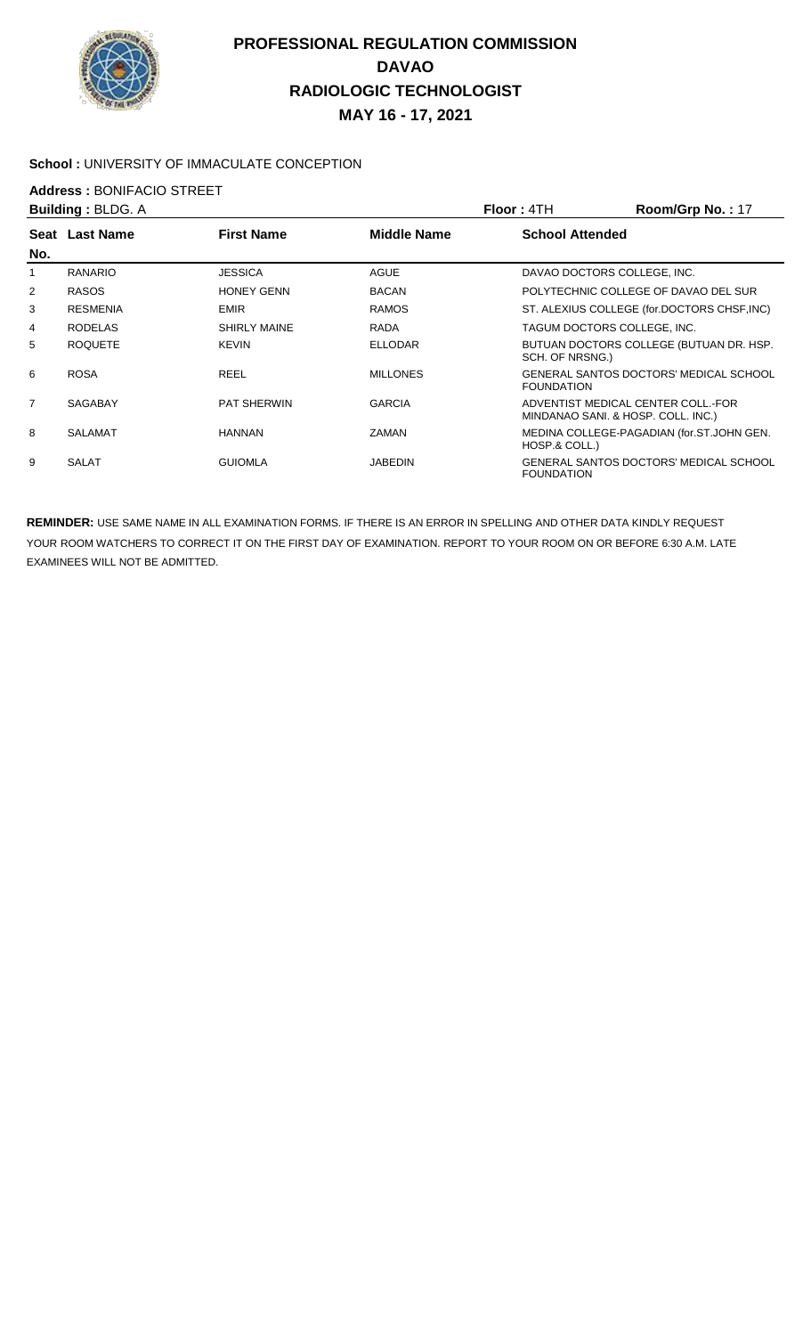

#### **School :** UNIVERSITY OF IMMACULATE CONCEPTION

**Address : BONIFACIO STREET**<br>**Building : BLDG A** 

|                | <b>Building: BLDG. A</b> |                     |                    | Floor : 4TH                        | Room/Grp No.: 17                              |
|----------------|--------------------------|---------------------|--------------------|------------------------------------|-----------------------------------------------|
| No.            | Seat Last Name           | <b>First Name</b>   | <b>Middle Name</b> | <b>School Attended</b>             |                                               |
|                | <b>RANARIO</b>           | <b>JESSICA</b>      | <b>AGUE</b>        | DAVAO DOCTORS COLLEGE, INC.        |                                               |
| $\overline{2}$ | <b>RASOS</b>             | <b>HONEY GENN</b>   | <b>BACAN</b>       |                                    | POLYTECHNIC COLLEGE OF DAVAO DEL SUR          |
| 3              | <b>RESMENIA</b>          | <b>EMIR</b>         | <b>RAMOS</b>       |                                    | ST. ALEXIUS COLLEGE (for.DOCTORS CHSF, INC)   |
| 4              | <b>RODELAS</b>           | <b>SHIRLY MAINE</b> | RADA               | TAGUM DOCTORS COLLEGE. INC.        |                                               |
| 5              | <b>ROQUETE</b>           | <b>KEVIN</b>        | <b>ELLODAR</b>     | SCH. OF NRSNG.)                    | BUTUAN DOCTORS COLLEGE (BUTUAN DR. HSP.       |
| 6              | <b>ROSA</b>              | <b>REEL</b>         | <b>MILLONES</b>    | <b>FOUNDATION</b>                  | GENERAL SANTOS DOCTORS' MEDICAL SCHOOL        |
| $\overline{7}$ | <b>SAGABAY</b>           | <b>PAT SHERWIN</b>  | <b>GARCIA</b>      | MINDANAO SANI. & HOSP. COLL. INC.) | ADVENTIST MEDICAL CENTER COLL. FOR            |
| 8              | <b>SALAMAT</b>           | <b>HANNAN</b>       | <b>ZAMAN</b>       | HOSP.& COLL.)                      | MEDINA COLLEGE-PAGADIAN (for.ST.JOHN GEN.     |
| 9              | <b>SALAT</b>             | <b>GUIOMLA</b>      | <b>JABEDIN</b>     | <b>FOUNDATION</b>                  | <b>GENERAL SANTOS DOCTORS' MEDICAL SCHOOL</b> |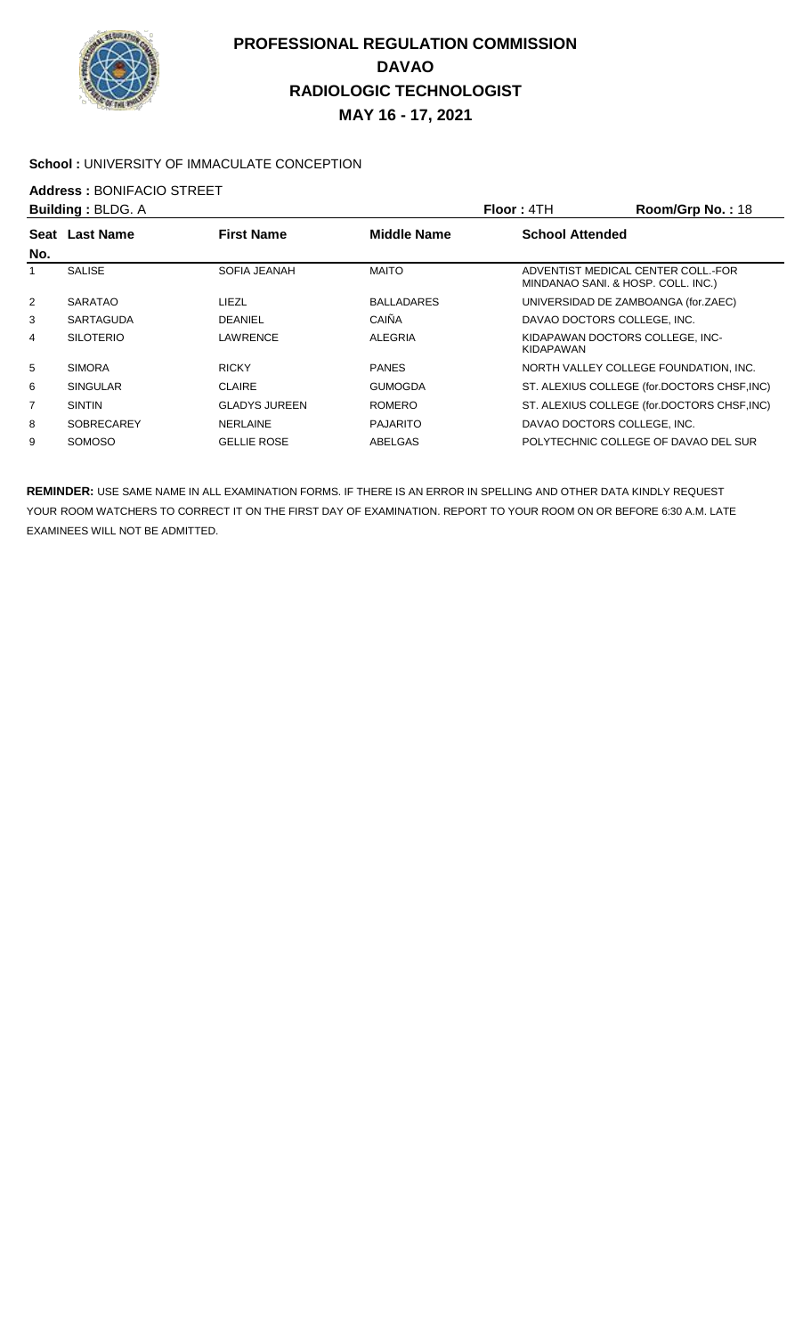

#### School : UNIVERSITY OF IMMACULATE CONCEPTION

## **Address :** BONIFACIO STREET

|                | <b>Building: BLDG. A</b> |                      |                    | Floor: 4TH                                          | Room/Grp No.: 18                            |
|----------------|--------------------------|----------------------|--------------------|-----------------------------------------------------|---------------------------------------------|
| Seat           | <b>Last Name</b>         | <b>First Name</b>    | <b>Middle Name</b> | <b>School Attended</b>                              |                                             |
| No.            |                          |                      |                    |                                                     |                                             |
|                | <b>SALISE</b>            | <b>SOFIA JEANAH</b>  | <b>MAITO</b>       | MINDANAO SANI. & HOSP. COLL. INC.)                  | ADVENTIST MEDICAL CENTER COLL.-FOR          |
| $\overline{2}$ | <b>SARATAO</b>           | LIEZL                | <b>BALLADARES</b>  |                                                     | UNIVERSIDAD DE ZAMBOANGA (for.ZAEC)         |
| 3              | SARTAGUDA                | <b>DEANIEL</b>       | CAIÑA              | DAVAO DOCTORS COLLEGE. INC.                         |                                             |
| 4              | <b>SILOTERIO</b>         | LAWRENCE             | <b>ALEGRIA</b>     | KIDAPAWAN DOCTORS COLLEGE. INC-<br><b>KIDAPAWAN</b> |                                             |
| 5              | <b>SIMORA</b>            | <b>RICKY</b>         | <b>PANES</b>       |                                                     | NORTH VALLEY COLLEGE FOUNDATION. INC.       |
| 6              | <b>SINGULAR</b>          | <b>CLAIRE</b>        | <b>GUMOGDA</b>     |                                                     | ST. ALEXIUS COLLEGE (for.DOCTORS CHSF, INC) |
| $\overline{7}$ | <b>SINTIN</b>            | <b>GLADYS JUREEN</b> | <b>ROMERO</b>      |                                                     | ST. ALEXIUS COLLEGE (for.DOCTORS CHSF, INC) |
| 8              | <b>SOBRECAREY</b>        | <b>NERLAINE</b>      | <b>PAJARITO</b>    | DAVAO DOCTORS COLLEGE. INC.                         |                                             |
| 9              | <b>SOMOSO</b>            | <b>GELLIE ROSE</b>   | ABELGAS            |                                                     | POLYTECHNIC COLLEGE OF DAVAO DEL SUR        |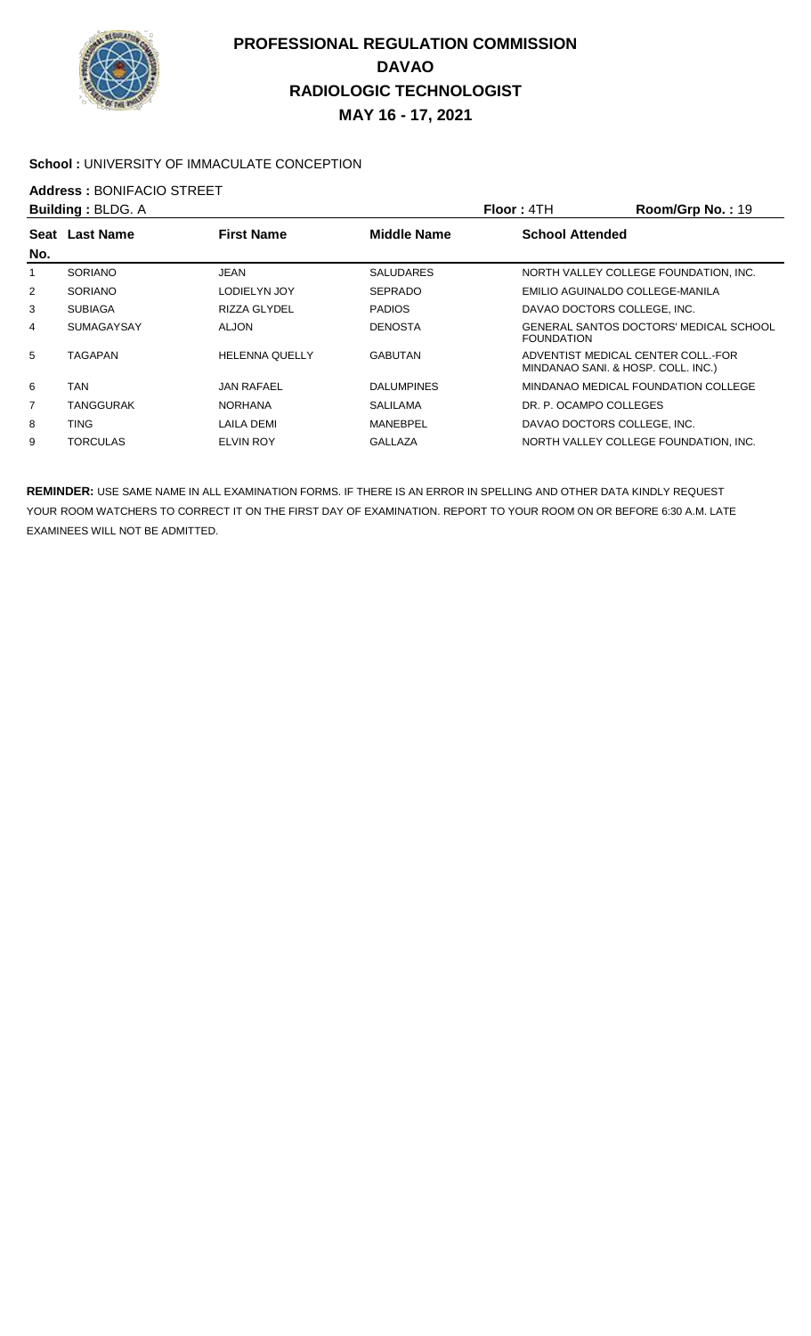

#### School : UNIVERSITY OF IMMACULATE CONCEPTION

# **Address : BONIFACIO STREET**<br>**Building : BLDG A**

|                | <b>Building: BLDG. A</b> |                       |                    | Floor: 4TH                                                               | Room/Grp No.: 19                       |
|----------------|--------------------------|-----------------------|--------------------|--------------------------------------------------------------------------|----------------------------------------|
| <b>Seat</b>    | <b>Last Name</b>         | <b>First Name</b>     | <b>Middle Name</b> | <b>School Attended</b>                                                   |                                        |
| No.            |                          |                       |                    |                                                                          |                                        |
| 1              | <b>SORIANO</b>           | <b>JEAN</b>           | <b>SALUDARES</b>   |                                                                          | NORTH VALLEY COLLEGE FOUNDATION, INC.  |
| $\overline{2}$ | <b>SORIANO</b>           | LODIELYN JOY          | <b>SEPRADO</b>     | EMILIO AGUINALDO COLLEGE-MANILA                                          |                                        |
| 3              | <b>SUBIAGA</b>           | RIZZA GLYDEL          | <b>PADIOS</b>      | DAVAO DOCTORS COLLEGE, INC.                                              |                                        |
| 4              | <b>SUMAGAYSAY</b>        | ALJON                 | <b>DENOSTA</b>     | <b>FOUNDATION</b>                                                        | GENERAL SANTOS DOCTORS' MEDICAL SCHOOL |
| 5              | <b>TAGAPAN</b>           | <b>HELENNA QUELLY</b> | <b>GABUTAN</b>     | ADVENTIST MEDICAL CENTER COLL. FOR<br>MINDANAO SANI. & HOSP. COLL. INC.) |                                        |
| 6              | <b>TAN</b>               | <b>JAN RAFAEL</b>     | <b>DALUMPINES</b>  |                                                                          | MINDANAO MEDICAL FOUNDATION COLLEGE    |
| 7              | <b>TANGGURAK</b>         | <b>NORHANA</b>        | <b>SALILAMA</b>    | DR. P. OCAMPO COLLEGES                                                   |                                        |
| 8              | <b>TING</b>              | LAILA DEMI            | MANEBPEL           | DAVAO DOCTORS COLLEGE, INC.                                              |                                        |
| 9              | <b>TORCULAS</b>          | <b>ELVIN ROY</b>      | <b>GALLAZA</b>     |                                                                          | NORTH VALLEY COLLEGE FOUNDATION. INC.  |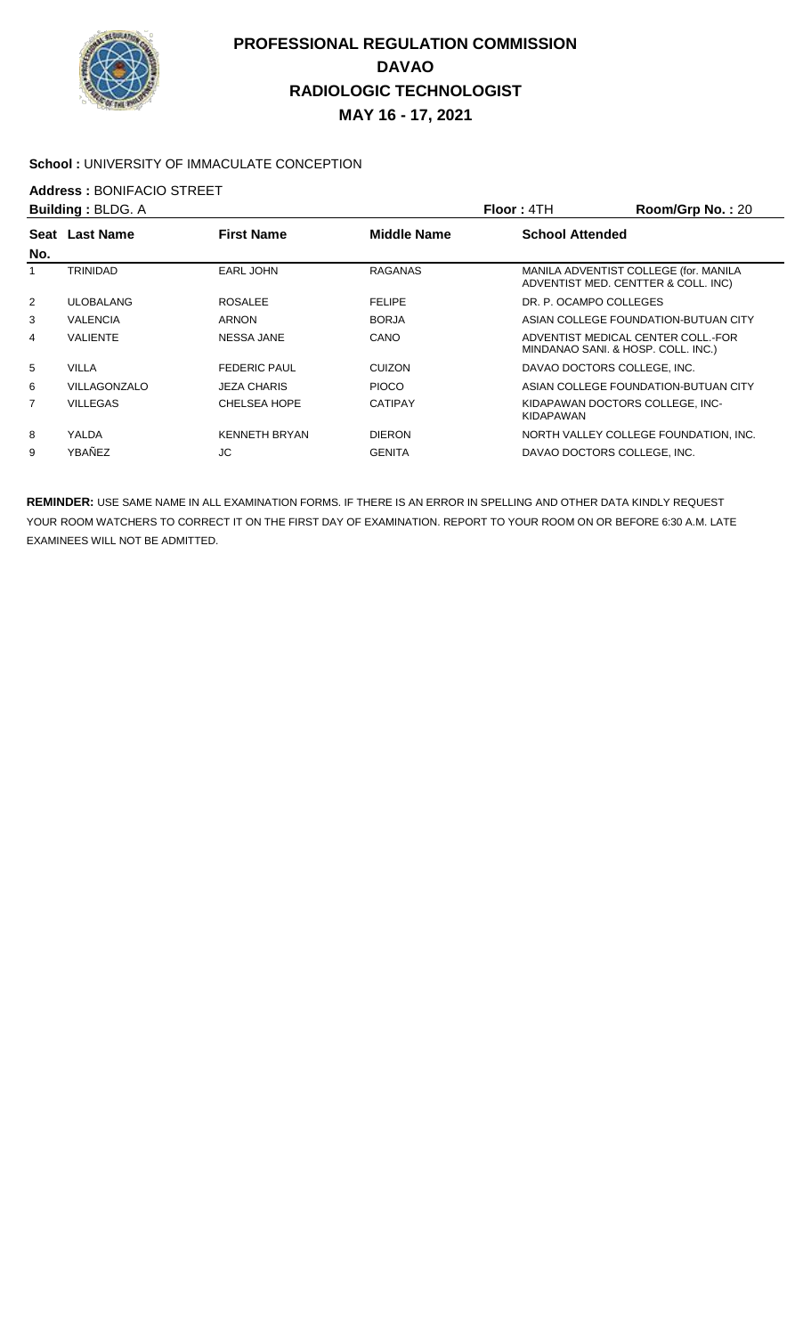

#### **School :** UNIVERSITY OF IMMACULATE CONCEPTION

## **Address :** BONIFACIO STREET

| <b>Building: BLDG. A</b> |                  |                      |                    | Floor: 4TH                  | Room/Grp No.: 20                                                             |
|--------------------------|------------------|----------------------|--------------------|-----------------------------|------------------------------------------------------------------------------|
| Seat                     | <b>Last Name</b> | <b>First Name</b>    | <b>Middle Name</b> | <b>School Attended</b>      |                                                                              |
| No.                      |                  |                      |                    |                             |                                                                              |
| 1                        | <b>TRINIDAD</b>  | <b>EARL JOHN</b>     | <b>RAGANAS</b>     |                             | MANILA ADVENTIST COLLEGE (for. MANILA<br>ADVENTIST MED. CENTTER & COLL. INC) |
| $\overline{2}$           | <b>ULOBALANG</b> | <b>ROSALEE</b>       | <b>FELIPE</b>      | DR. P. OCAMPO COLLEGES      |                                                                              |
| 3                        | <b>VALENCIA</b>  | <b>ARNON</b>         | <b>BORJA</b>       |                             | ASIAN COLLEGE FOUNDATION-BUTUAN CITY                                         |
| 4                        | <b>VALIENTE</b>  | <b>NESSA JANE</b>    | CANO               |                             | ADVENTIST MEDICAL CENTER COLL.-FOR<br>MINDANAO SANI. & HOSP. COLL. INC.)     |
| 5                        | <b>VILLA</b>     | <b>FEDERIC PAUL</b>  | <b>CUIZON</b>      | DAVAO DOCTORS COLLEGE. INC. |                                                                              |
| 6                        | VILLAGONZALO     | <b>JEZA CHARIS</b>   | <b>PIOCO</b>       |                             | ASIAN COLLEGE FOUNDATION-BUTUAN CITY                                         |
| $\overline{7}$           | <b>VILLEGAS</b>  | <b>CHELSEA HOPE</b>  | <b>CATIPAY</b>     | KIDAPAWAN                   | KIDAPAWAN DOCTORS COLLEGE. INC-                                              |
| 8                        | YALDA            | <b>KENNETH BRYAN</b> | <b>DIERON</b>      |                             | NORTH VALLEY COLLEGE FOUNDATION, INC.                                        |
| 9                        | YBAÑEZ           | JС                   | <b>GENITA</b>      | DAVAO DOCTORS COLLEGE, INC. |                                                                              |
|                          |                  |                      |                    |                             |                                                                              |